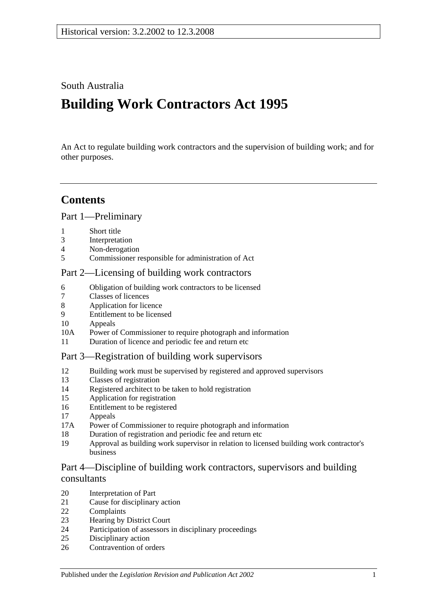### South Australia

# **Building Work Contractors Act 1995**

An Act to regulate building work contractors and the supervision of building work; and for other purposes.

## **Contents**

[Part 1—Preliminary](#page-2-0)

- [Short title](#page-2-1)
- [Interpretation](#page-2-2)
- [Non-derogation](#page-4-0)
- [Commissioner responsible for administration of Act](#page-4-1)

### [Part 2—Licensing of building work contractors](#page-4-2)

- [Obligation of building work contractors to be licensed](#page-4-3)
- [Classes of licences](#page-5-0)
- [Application for licence](#page-5-1)
- [Entitlement to be licensed](#page-6-0)
- [Appeals](#page-7-0)
- 10A [Power of Commissioner to require photograph and information](#page-7-1)
- [Duration of licence and periodic fee and return etc](#page-8-0)

### [Part 3—Registration of building work supervisors](#page-8-1)

- [Building work must be supervised by registered and approved supervisors](#page-8-2)
- [Classes of registration](#page-9-0)
- [Registered architect to be taken to hold registration](#page-9-1)
- [Application for registration](#page-9-2)
- [Entitlement to be registered](#page-10-0)
- [Appeals](#page-10-1)
- 17A [Power of Commissioner to require photograph and information](#page-11-0)
- [Duration of registration and periodic fee and return etc](#page-11-1)
- [Approval as building work supervisor in relation to licensed building work contractor's](#page-11-2)  [business](#page-11-2)

### [Part 4—Discipline of building work contractors, supervisors and building](#page-13-0)  [consultants](#page-13-0)

- [Interpretation of Part](#page-13-1)
- [Cause for disciplinary action](#page-13-2)
- [Complaints](#page-14-0)
- [Hearing by District Court](#page-14-1)
- [Participation of assessors in disciplinary proceedings](#page-15-0)
- [Disciplinary action](#page-15-1)
- [Contravention of orders](#page-16-0)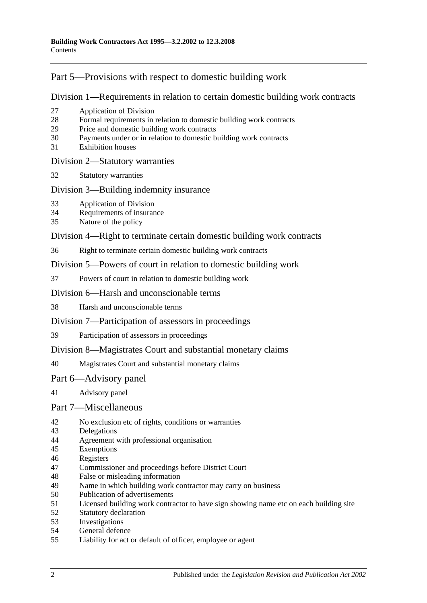### [Part 5—Provisions with respect to domestic building work](#page-16-1)

[Division 1—Requirements in relation to certain domestic building work contracts](#page-16-2)

- [Application of Division](#page-16-3)
- [Formal requirements in relation to domestic building work contracts](#page-16-4)
- [Price and domestic building work contracts](#page-17-0)
- [Payments under or in relation to domestic building work contracts](#page-19-0)
- [Exhibition houses](#page-19-1)

### [Division 2—Statutory warranties](#page-20-0)

[Statutory warranties](#page-20-1)

### [Division 3—Building indemnity insurance](#page-21-0)

- [Application of Division](#page-21-1)
- [Requirements of insurance](#page-21-2)
- [Nature of the policy](#page-21-3)

### [Division 4—Right to terminate certain domestic building work contracts](#page-22-0)

[Right to terminate certain domestic building work contracts](#page-22-1)

[Division 5—Powers of court in relation to domestic building work](#page-22-2)

[Powers of court in relation to domestic building work](#page-22-3)

### [Division 6—Harsh and unconscionable terms](#page-24-0)

[Harsh and unconscionable terms](#page-24-1)

### [Division 7—Participation of assessors in proceedings](#page-25-0)

[Participation of assessors in proceedings](#page-25-1)

### [Division 8—Magistrates Court and substantial monetary claims](#page-25-2)

[Magistrates Court and substantial monetary claims](#page-25-3)

### [Part 6—Advisory panel](#page-25-4)

[Advisory panel](#page-25-5)

### [Part 7—Miscellaneous](#page-25-6)

- [No exclusion etc of rights, conditions or warranties](#page-25-7)
- [Delegations](#page-26-0)
- [Agreement with professional organisation](#page-26-1)
- [Exemptions](#page-27-0)
- [Registers](#page-27-1)
- [Commissioner and proceedings before District Court](#page-27-2)
- [False or misleading information](#page-27-3)
- [Name in which building work contractor may carry on business](#page-28-0)
- [Publication of advertisements](#page-28-1)
- [Licensed building work contractor to have sign showing name etc on each building site](#page-28-2)
- [Statutory declaration](#page-29-0)<br>53 Investigations
- **[Investigations](#page-29-1)**
- [General defence](#page-29-2)
- [Liability for act or default of officer, employee or agent](#page-29-3)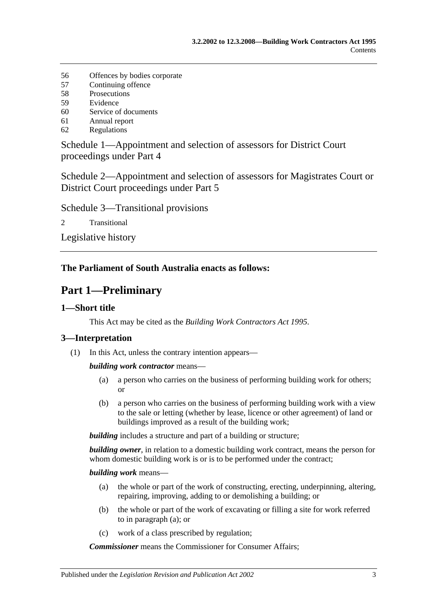- 56 [Offences by bodies corporate](#page-29-4)
- 57 [Continuing offence](#page-29-5)
- 58 [Prosecutions](#page-30-0)
- 59 [Evidence](#page-30-1)
- 60 [Service of documents](#page-30-2)
- 61 [Annual report](#page-31-0)
- 62 [Regulations](#page-31-1)

[Schedule 1—Appointment and selection of assessors for District Court](#page-32-0)  [proceedings under Part 4](#page-32-0)

[Schedule 2—Appointment and selection of assessors for Magistrates Court or](#page-33-0)  [District Court proceedings under Part](#page-33-0) 5

[Schedule 3—Transitional provisions](#page-33-1)

2 [Transitional](#page-33-2)

[Legislative history](#page-35-0)

### <span id="page-2-0"></span>**The Parliament of South Australia enacts as follows:**

## **Part 1—Preliminary**

### <span id="page-2-1"></span>**1—Short title**

This Act may be cited as the *Building Work Contractors Act 1995*.

### <span id="page-2-2"></span>**3—Interpretation**

(1) In this Act, unless the contrary intention appears—

*building work contractor* means—

- (a) a person who carries on the business of performing building work for others; or
- (b) a person who carries on the business of performing building work with a view to the sale or letting (whether by lease, licence or other agreement) of land or buildings improved as a result of the building work;

**building** includes a structure and part of a building or structure;

*building owner*, in relation to a domestic building work contract, means the person for whom domestic building work is or is to be performed under the contract;

### <span id="page-2-3"></span>*building work* means—

- (a) the whole or part of the work of constructing, erecting, underpinning, altering, repairing, improving, adding to or demolishing a building; or
- (b) the whole or part of the work of excavating or filling a site for work referred to in [paragraph](#page-2-3) (a); or
- (c) work of a class prescribed by regulation;

*Commissioner* means the Commissioner for Consumer Affairs;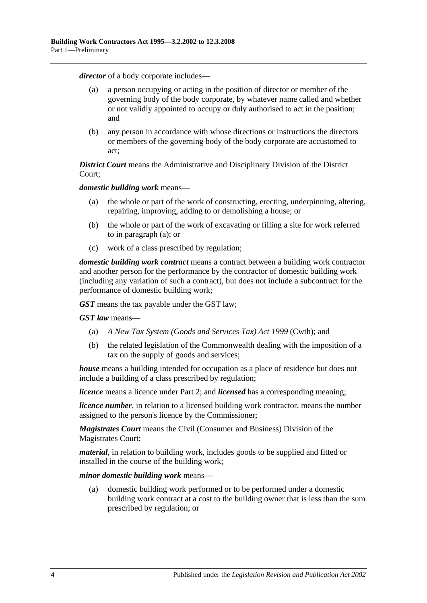*director* of a body corporate includes—

- (a) a person occupying or acting in the position of director or member of the governing body of the body corporate, by whatever name called and whether or not validly appointed to occupy or duly authorised to act in the position; and
- (b) any person in accordance with whose directions or instructions the directors or members of the governing body of the body corporate are accustomed to act;

*District Court* means the Administrative and Disciplinary Division of the District Court;

<span id="page-3-0"></span>*domestic building work* means—

- (a) the whole or part of the work of constructing, erecting, underpinning, altering, repairing, improving, adding to or demolishing a house; or
- (b) the whole or part of the work of excavating or filling a site for work referred to in [paragraph](#page-3-0) (a); or
- (c) work of a class prescribed by regulation;

*domestic building work contract* means a contract between a building work contractor and another person for the performance by the contractor of domestic building work (including any variation of such a contract), but does not include a subcontract for the performance of domestic building work;

*GST* means the tax payable under the GST law;

*GST law* means—

- (a) *A New Tax System (Goods and Services Tax) Act 1999* (Cwth); and
- (b) the related legislation of the Commonwealth dealing with the imposition of a tax on the supply of goods and services;

*house* means a building intended for occupation as a place of residence but does not include a building of a class prescribed by regulation;

*licence* means a licence under [Part 2;](#page-4-2) and *licensed* has a corresponding meaning;

*licence number*, in relation to a licensed building work contractor, means the number assigned to the person's licence by the Commissioner;

*Magistrates Court* means the Civil (Consumer and Business) Division of the Magistrates Court;

*material*, in relation to building work, includes goods to be supplied and fitted or installed in the course of the building work;

*minor domestic building work* means—

(a) domestic building work performed or to be performed under a domestic building work contract at a cost to the building owner that is less than the sum prescribed by regulation; or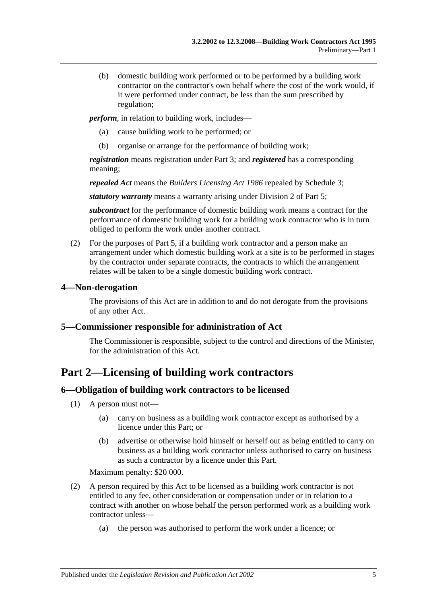(b) domestic building work performed or to be performed by a building work contractor on the contractor's own behalf where the cost of the work would, if it were performed under contract, be less than the sum prescribed by regulation;

*perform*, in relation to building work, includes—

- (a) cause building work to be performed; or
- (b) organise or arrange for the performance of building work;

*registration* means registration under [Part 3;](#page-8-1) and *registered* has a corresponding meaning;

*repealed Act* means the *[Builders Licensing Act](http://www.legislation.sa.gov.au/index.aspx?action=legref&type=act&legtitle=Builders%20Licensing%20Act%201986) 1986* repealed by Schedule 3;

*statutory warranty* means a warranty arising under [Division 2](#page-20-0) of [Part 5;](#page-16-1)

*subcontract* for the performance of domestic building work means a contract for the performance of domestic building work for a building work contractor who is in turn obliged to perform the work under another contract.

(2) For the purposes of [Part 5,](#page-16-1) if a building work contractor and a person make an arrangement under which domestic building work at a site is to be performed in stages by the contractor under separate contracts, the contracts to which the arrangement relates will be taken to be a single domestic building work contract.

### <span id="page-4-0"></span>**4—Non-derogation**

The provisions of this Act are in addition to and do not derogate from the provisions of any other Act.

### <span id="page-4-1"></span>**5—Commissioner responsible for administration of Act**

The Commissioner is responsible, subject to the control and directions of the Minister, for the administration of this Act.

## <span id="page-4-2"></span>**Part 2—Licensing of building work contractors**

### <span id="page-4-3"></span>**6—Obligation of building work contractors to be licensed**

- (1) A person must not—
	- (a) carry on business as a building work contractor except as authorised by a licence under this Part; or
	- (b) advertise or otherwise hold himself or herself out as being entitled to carry on business as a building work contractor unless authorised to carry on business as such a contractor by a licence under this Part.

Maximum penalty: \$20 000.

- (2) A person required by this Act to be licensed as a building work contractor is not entitled to any fee, other consideration or compensation under or in relation to a contract with another on whose behalf the person performed work as a building work contractor unless—
	- (a) the person was authorised to perform the work under a licence; or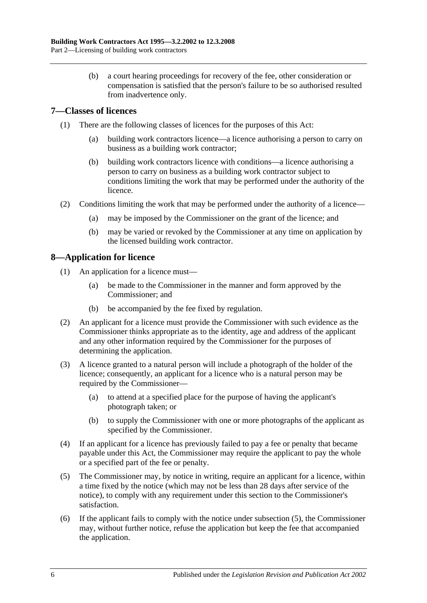(b) a court hearing proceedings for recovery of the fee, other consideration or compensation is satisfied that the person's failure to be so authorised resulted from inadvertence only.

### <span id="page-5-0"></span>**7—Classes of licences**

- (1) There are the following classes of licences for the purposes of this Act:
	- (a) building work contractors licence—a licence authorising a person to carry on business as a building work contractor;
	- (b) building work contractors licence with conditions—a licence authorising a person to carry on business as a building work contractor subject to conditions limiting the work that may be performed under the authority of the licence.
- (2) Conditions limiting the work that may be performed under the authority of a licence—
	- (a) may be imposed by the Commissioner on the grant of the licence; and
	- (b) may be varied or revoked by the Commissioner at any time on application by the licensed building work contractor.

### <span id="page-5-1"></span>**8—Application for licence**

- (1) An application for a licence must—
	- (a) be made to the Commissioner in the manner and form approved by the Commissioner; and
	- (b) be accompanied by the fee fixed by regulation.
- (2) An applicant for a licence must provide the Commissioner with such evidence as the Commissioner thinks appropriate as to the identity, age and address of the applicant and any other information required by the Commissioner for the purposes of determining the application.
- (3) A licence granted to a natural person will include a photograph of the holder of the licence; consequently, an applicant for a licence who is a natural person may be required by the Commissioner—
	- (a) to attend at a specified place for the purpose of having the applicant's photograph taken; or
	- (b) to supply the Commissioner with one or more photographs of the applicant as specified by the Commissioner.
- (4) If an applicant for a licence has previously failed to pay a fee or penalty that became payable under this Act, the Commissioner may require the applicant to pay the whole or a specified part of the fee or penalty.
- <span id="page-5-2"></span>(5) The Commissioner may, by notice in writing, require an applicant for a licence, within a time fixed by the notice (which may not be less than 28 days after service of the notice), to comply with any requirement under this section to the Commissioner's satisfaction.
- (6) If the applicant fails to comply with the notice under [subsection](#page-5-2) (5), the Commissioner may, without further notice, refuse the application but keep the fee that accompanied the application.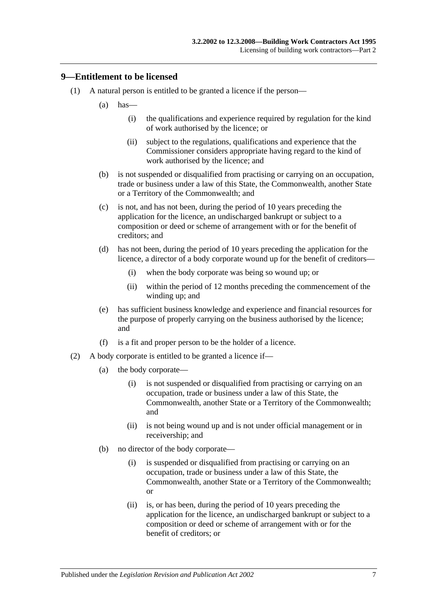### <span id="page-6-0"></span>**9—Entitlement to be licensed**

- (1) A natural person is entitled to be granted a licence if the person—
	- $(a)$  has—
		- (i) the qualifications and experience required by regulation for the kind of work authorised by the licence; or
		- (ii) subject to the regulations, qualifications and experience that the Commissioner considers appropriate having regard to the kind of work authorised by the licence; and
	- (b) is not suspended or disqualified from practising or carrying on an occupation, trade or business under a law of this State, the Commonwealth, another State or a Territory of the Commonwealth; and
	- (c) is not, and has not been, during the period of 10 years preceding the application for the licence, an undischarged bankrupt or subject to a composition or deed or scheme of arrangement with or for the benefit of creditors; and
	- (d) has not been, during the period of 10 years preceding the application for the licence, a director of a body corporate wound up for the benefit of creditors—
		- (i) when the body corporate was being so wound up; or
		- (ii) within the period of 12 months preceding the commencement of the winding up; and
	- (e) has sufficient business knowledge and experience and financial resources for the purpose of properly carrying on the business authorised by the licence; and
	- (f) is a fit and proper person to be the holder of a licence.
- (2) A body corporate is entitled to be granted a licence if—
	- (a) the body corporate—
		- (i) is not suspended or disqualified from practising or carrying on an occupation, trade or business under a law of this State, the Commonwealth, another State or a Territory of the Commonwealth; and
		- (ii) is not being wound up and is not under official management or in receivership; and
	- (b) no director of the body corporate—
		- (i) is suspended or disqualified from practising or carrying on an occupation, trade or business under a law of this State, the Commonwealth, another State or a Territory of the Commonwealth; or
		- (ii) is, or has been, during the period of 10 years preceding the application for the licence, an undischarged bankrupt or subject to a composition or deed or scheme of arrangement with or for the benefit of creditors; or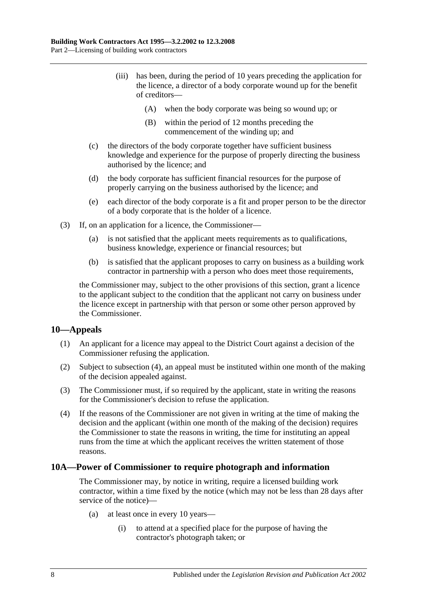- (iii) has been, during the period of 10 years preceding the application for the licence, a director of a body corporate wound up for the benefit of creditors—
	- (A) when the body corporate was being so wound up; or
	- (B) within the period of 12 months preceding the commencement of the winding up; and
- (c) the directors of the body corporate together have sufficient business knowledge and experience for the purpose of properly directing the business authorised by the licence; and
- (d) the body corporate has sufficient financial resources for the purpose of properly carrying on the business authorised by the licence; and
- (e) each director of the body corporate is a fit and proper person to be the director of a body corporate that is the holder of a licence.
- (3) If, on an application for a licence, the Commissioner—
	- (a) is not satisfied that the applicant meets requirements as to qualifications, business knowledge, experience or financial resources; but
	- (b) is satisfied that the applicant proposes to carry on business as a building work contractor in partnership with a person who does meet those requirements,

the Commissioner may, subject to the other provisions of this section, grant a licence to the applicant subject to the condition that the applicant not carry on business under the licence except in partnership with that person or some other person approved by the Commissioner.

### <span id="page-7-0"></span>**10—Appeals**

- (1) An applicant for a licence may appeal to the District Court against a decision of the Commissioner refusing the application.
- (2) Subject to [subsection](#page-7-2) (4), an appeal must be instituted within one month of the making of the decision appealed against.
- (3) The Commissioner must, if so required by the applicant, state in writing the reasons for the Commissioner's decision to refuse the application.
- <span id="page-7-2"></span>(4) If the reasons of the Commissioner are not given in writing at the time of making the decision and the applicant (within one month of the making of the decision) requires the Commissioner to state the reasons in writing, the time for instituting an appeal runs from the time at which the applicant receives the written statement of those reasons.

#### <span id="page-7-1"></span>**10A—Power of Commissioner to require photograph and information**

The Commissioner may, by notice in writing, require a licensed building work contractor, within a time fixed by the notice (which may not be less than 28 days after service of the notice)—

- (a) at least once in every 10 years—
	- (i) to attend at a specified place for the purpose of having the contractor's photograph taken; or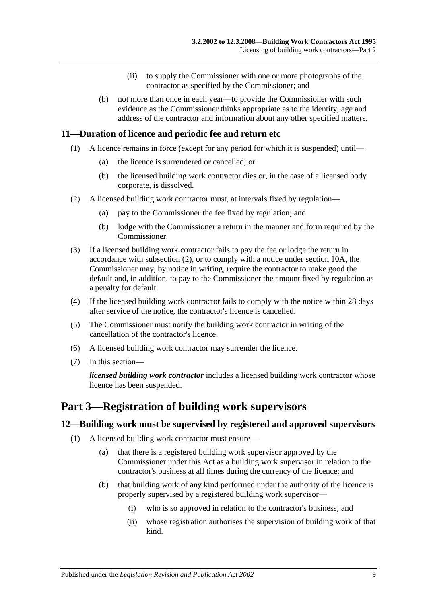- (ii) to supply the Commissioner with one or more photographs of the contractor as specified by the Commissioner; and
- (b) not more than once in each year—to provide the Commissioner with such evidence as the Commissioner thinks appropriate as to the identity, age and address of the contractor and information about any other specified matters.

### <span id="page-8-0"></span>**11—Duration of licence and periodic fee and return etc**

- (1) A licence remains in force (except for any period for which it is suspended) until—
	- (a) the licence is surrendered or cancelled; or
	- (b) the licensed building work contractor dies or, in the case of a licensed body corporate, is dissolved.
- <span id="page-8-3"></span>(2) A licensed building work contractor must, at intervals fixed by regulation—
	- (a) pay to the Commissioner the fee fixed by regulation; and
	- (b) lodge with the Commissioner a return in the manner and form required by the Commissioner.
- (3) If a licensed building work contractor fails to pay the fee or lodge the return in accordance with [subsection](#page-8-3) (2), or to comply with a notice under [section](#page-7-1) 10A, the Commissioner may, by notice in writing, require the contractor to make good the default and, in addition, to pay to the Commissioner the amount fixed by regulation as a penalty for default.
- (4) If the licensed building work contractor fails to comply with the notice within 28 days after service of the notice, the contractor's licence is cancelled.
- (5) The Commissioner must notify the building work contractor in writing of the cancellation of the contractor's licence.
- (6) A licensed building work contractor may surrender the licence.
- (7) In this section—

*licensed building work contractor* includes a licensed building work contractor whose licence has been suspended.

## <span id="page-8-1"></span>**Part 3—Registration of building work supervisors**

### <span id="page-8-5"></span><span id="page-8-2"></span>**12—Building work must be supervised by registered and approved supervisors**

- <span id="page-8-4"></span>(1) A licensed building work contractor must ensure—
	- (a) that there is a registered building work supervisor approved by the Commissioner under this Act as a building work supervisor in relation to the contractor's business at all times during the currency of the licence; and
	- (b) that building work of any kind performed under the authority of the licence is properly supervised by a registered building work supervisor—
		- (i) who is so approved in relation to the contractor's business; and
		- (ii) whose registration authorises the supervision of building work of that kind.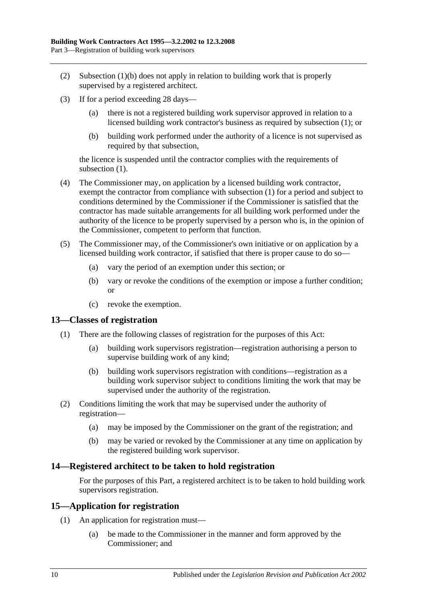- (2) [Subsection](#page-8-4) (1)(b) does not apply in relation to building work that is properly supervised by a registered architect.
- (3) If for a period exceeding 28 days—
	- (a) there is not a registered building work supervisor approved in relation to a licensed building work contractor's business as required by [subsection](#page-8-5) (1); or
	- (b) building work performed under the authority of a licence is not supervised as required by that subsection,

the licence is suspended until the contractor complies with the requirements of [subsection](#page-8-5)  $(1)$ .

- (4) The Commissioner may, on application by a licensed building work contractor, exempt the contractor from compliance with [subsection](#page-8-5) (1) for a period and subject to conditions determined by the Commissioner if the Commissioner is satisfied that the contractor has made suitable arrangements for all building work performed under the authority of the licence to be properly supervised by a person who is, in the opinion of the Commissioner, competent to perform that function.
- (5) The Commissioner may, of the Commissioner's own initiative or on application by a licensed building work contractor, if satisfied that there is proper cause to do so—
	- (a) vary the period of an exemption under this section; or
	- (b) vary or revoke the conditions of the exemption or impose a further condition; or
	- (c) revoke the exemption.

#### <span id="page-9-0"></span>**13—Classes of registration**

- (1) There are the following classes of registration for the purposes of this Act:
	- (a) building work supervisors registration—registration authorising a person to supervise building work of any kind;
	- (b) building work supervisors registration with conditions—registration as a building work supervisor subject to conditions limiting the work that may be supervised under the authority of the registration.
- (2) Conditions limiting the work that may be supervised under the authority of registration—
	- (a) may be imposed by the Commissioner on the grant of the registration; and
	- (b) may be varied or revoked by the Commissioner at any time on application by the registered building work supervisor.

### <span id="page-9-1"></span>**14—Registered architect to be taken to hold registration**

For the purposes of this Part, a registered architect is to be taken to hold building work supervisors registration.

#### <span id="page-9-2"></span>**15—Application for registration**

- (1) An application for registration must—
	- (a) be made to the Commissioner in the manner and form approved by the Commissioner; and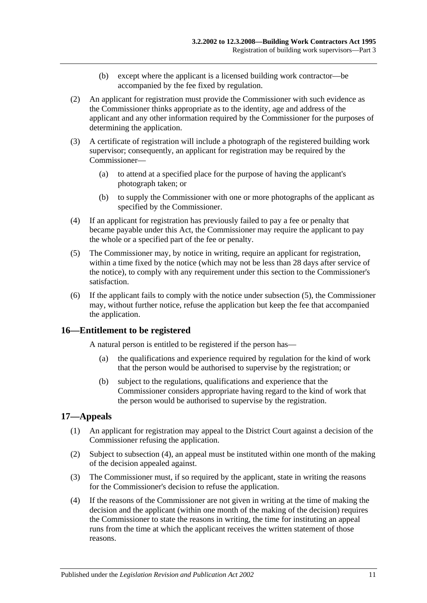- (b) except where the applicant is a licensed building work contractor—be accompanied by the fee fixed by regulation.
- (2) An applicant for registration must provide the Commissioner with such evidence as the Commissioner thinks appropriate as to the identity, age and address of the applicant and any other information required by the Commissioner for the purposes of determining the application.
- (3) A certificate of registration will include a photograph of the registered building work supervisor; consequently, an applicant for registration may be required by the Commissioner—
	- (a) to attend at a specified place for the purpose of having the applicant's photograph taken; or
	- (b) to supply the Commissioner with one or more photographs of the applicant as specified by the Commissioner.
- (4) If an applicant for registration has previously failed to pay a fee or penalty that became payable under this Act, the Commissioner may require the applicant to pay the whole or a specified part of the fee or penalty.
- <span id="page-10-2"></span>(5) The Commissioner may, by notice in writing, require an applicant for registration, within a time fixed by the notice (which may not be less than 28 days after service of the notice), to comply with any requirement under this section to the Commissioner's satisfaction.
- (6) If the applicant fails to comply with the notice under [subsection](#page-10-2) (5), the Commissioner may, without further notice, refuse the application but keep the fee that accompanied the application.

### <span id="page-10-0"></span>**16—Entitlement to be registered**

A natural person is entitled to be registered if the person has—

- (a) the qualifications and experience required by regulation for the kind of work that the person would be authorised to supervise by the registration; or
- (b) subject to the regulations, qualifications and experience that the Commissioner considers appropriate having regard to the kind of work that the person would be authorised to supervise by the registration.

### <span id="page-10-1"></span>**17—Appeals**

- (1) An applicant for registration may appeal to the District Court against a decision of the Commissioner refusing the application.
- (2) Subject to [subsection](#page-10-3) (4), an appeal must be instituted within one month of the making of the decision appealed against.
- (3) The Commissioner must, if so required by the applicant, state in writing the reasons for the Commissioner's decision to refuse the application.
- <span id="page-10-3"></span>(4) If the reasons of the Commissioner are not given in writing at the time of making the decision and the applicant (within one month of the making of the decision) requires the Commissioner to state the reasons in writing, the time for instituting an appeal runs from the time at which the applicant receives the written statement of those reasons.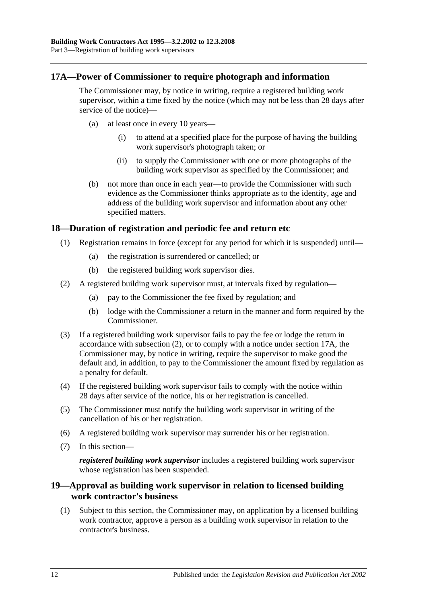### <span id="page-11-0"></span>**17A—Power of Commissioner to require photograph and information**

The Commissioner may, by notice in writing, require a registered building work supervisor, within a time fixed by the notice (which may not be less than 28 days after service of the notice)—

- (a) at least once in every 10 years—
	- (i) to attend at a specified place for the purpose of having the building work supervisor's photograph taken; or
	- (ii) to supply the Commissioner with one or more photographs of the building work supervisor as specified by the Commissioner; and
- (b) not more than once in each year—to provide the Commissioner with such evidence as the Commissioner thinks appropriate as to the identity, age and address of the building work supervisor and information about any other specified matters.

### <span id="page-11-1"></span>**18—Duration of registration and periodic fee and return etc**

- (1) Registration remains in force (except for any period for which it is suspended) until—
	- (a) the registration is surrendered or cancelled; or
	- (b) the registered building work supervisor dies.
- <span id="page-11-3"></span>(2) A registered building work supervisor must, at intervals fixed by regulation—
	- (a) pay to the Commissioner the fee fixed by regulation; and
	- (b) lodge with the Commissioner a return in the manner and form required by the Commissioner.
- (3) If a registered building work supervisor fails to pay the fee or lodge the return in accordance with [subsection](#page-11-3) (2), or to comply with a notice under [section](#page-11-0) 17A, the Commissioner may, by notice in writing, require the supervisor to make good the default and, in addition, to pay to the Commissioner the amount fixed by regulation as a penalty for default.
- (4) If the registered building work supervisor fails to comply with the notice within 28 days after service of the notice, his or her registration is cancelled.
- (5) The Commissioner must notify the building work supervisor in writing of the cancellation of his or her registration.
- (6) A registered building work supervisor may surrender his or her registration.
- (7) In this section—

*registered building work supervisor* includes a registered building work supervisor whose registration has been suspended.

### <span id="page-11-2"></span>**19—Approval as building work supervisor in relation to licensed building work contractor's business**

(1) Subject to this section, the Commissioner may, on application by a licensed building work contractor, approve a person as a building work supervisor in relation to the contractor's business.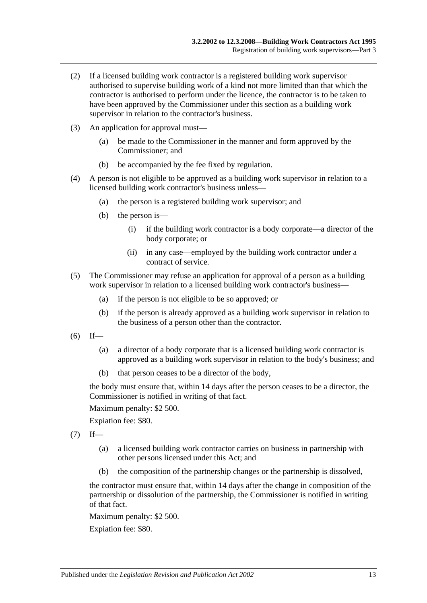- (2) If a licensed building work contractor is a registered building work supervisor authorised to supervise building work of a kind not more limited than that which the contractor is authorised to perform under the licence, the contractor is to be taken to have been approved by the Commissioner under this section as a building work supervisor in relation to the contractor's business.
- (3) An application for approval must—
	- (a) be made to the Commissioner in the manner and form approved by the Commissioner; and
	- (b) be accompanied by the fee fixed by regulation.
- (4) A person is not eligible to be approved as a building work supervisor in relation to a licensed building work contractor's business unless—
	- (a) the person is a registered building work supervisor; and
	- (b) the person is—
		- (i) if the building work contractor is a body corporate—a director of the body corporate; or
		- (ii) in any case—employed by the building work contractor under a contract of service.
- (5) The Commissioner may refuse an application for approval of a person as a building work supervisor in relation to a licensed building work contractor's business—
	- (a) if the person is not eligible to be so approved; or
	- (b) if the person is already approved as a building work supervisor in relation to the business of a person other than the contractor.
- $(6)$  If—
	- (a) a director of a body corporate that is a licensed building work contractor is approved as a building work supervisor in relation to the body's business; and
	- (b) that person ceases to be a director of the body,

the body must ensure that, within 14 days after the person ceases to be a director, the Commissioner is notified in writing of that fact.

Maximum penalty: \$2 500.

Expiation fee: \$80.

- $(7)$  If—
	- (a) a licensed building work contractor carries on business in partnership with other persons licensed under this Act; and
	- (b) the composition of the partnership changes or the partnership is dissolved,

the contractor must ensure that, within 14 days after the change in composition of the partnership or dissolution of the partnership, the Commissioner is notified in writing of that fact.

Maximum penalty: \$2 500.

Expiation fee: \$80.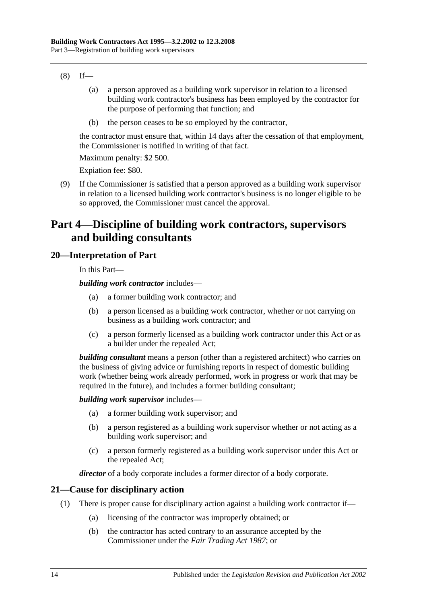- $(8)$  If—
	- (a) a person approved as a building work supervisor in relation to a licensed building work contractor's business has been employed by the contractor for the purpose of performing that function; and
	- (b) the person ceases to be so employed by the contractor,

the contractor must ensure that, within 14 days after the cessation of that employment, the Commissioner is notified in writing of that fact.

Maximum penalty: \$2 500.

Expiation fee: \$80.

(9) If the Commissioner is satisfied that a person approved as a building work supervisor in relation to a licensed building work contractor's business is no longer eligible to be so approved, the Commissioner must cancel the approval.

## <span id="page-13-0"></span>**Part 4—Discipline of building work contractors, supervisors and building consultants**

### <span id="page-13-1"></span>**20—Interpretation of Part**

In this Part—

*building work contractor* includes—

- (a) a former building work contractor; and
- (b) a person licensed as a building work contractor, whether or not carrying on business as a building work contractor; and
- (c) a person formerly licensed as a building work contractor under this Act or as a builder under the repealed Act;

*building consultant* means a person (other than a registered architect) who carries on the business of giving advice or furnishing reports in respect of domestic building work (whether being work already performed, work in progress or work that may be required in the future), and includes a former building consultant;

#### *building work supervisor* includes—

- (a) a former building work supervisor; and
- (b) a person registered as a building work supervisor whether or not acting as a building work supervisor; and
- (c) a person formerly registered as a building work supervisor under this Act or the repealed Act;

*director* of a body corporate includes a former director of a body corporate.

### <span id="page-13-2"></span>**21—Cause for disciplinary action**

- (1) There is proper cause for disciplinary action against a building work contractor if—
	- (a) licensing of the contractor was improperly obtained; or
	- (b) the contractor has acted contrary to an assurance accepted by the Commissioner under the *[Fair Trading Act](http://www.legislation.sa.gov.au/index.aspx?action=legref&type=act&legtitle=Fair%20Trading%20Act%201987) 1987*; or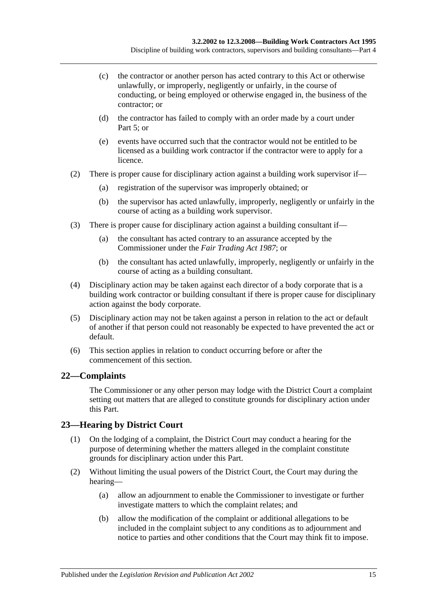- (c) the contractor or another person has acted contrary to this Act or otherwise unlawfully, or improperly, negligently or unfairly, in the course of conducting, or being employed or otherwise engaged in, the business of the contractor; or
- (d) the contractor has failed to comply with an order made by a court under [Part](#page-16-1) 5; or
- (e) events have occurred such that the contractor would not be entitled to be licensed as a building work contractor if the contractor were to apply for a licence.
- (2) There is proper cause for disciplinary action against a building work supervisor if—
	- (a) registration of the supervisor was improperly obtained; or
	- (b) the supervisor has acted unlawfully, improperly, negligently or unfairly in the course of acting as a building work supervisor.
- (3) There is proper cause for disciplinary action against a building consultant if—
	- (a) the consultant has acted contrary to an assurance accepted by the Commissioner under the *[Fair Trading Act](http://www.legislation.sa.gov.au/index.aspx?action=legref&type=act&legtitle=Fair%20Trading%20Act%201987) 1987*; or
	- (b) the consultant has acted unlawfully, improperly, negligently or unfairly in the course of acting as a building consultant.
- (4) Disciplinary action may be taken against each director of a body corporate that is a building work contractor or building consultant if there is proper cause for disciplinary action against the body corporate.
- (5) Disciplinary action may not be taken against a person in relation to the act or default of another if that person could not reasonably be expected to have prevented the act or default.
- (6) This section applies in relation to conduct occurring before or after the commencement of this section.

### <span id="page-14-0"></span>**22—Complaints**

The Commissioner or any other person may lodge with the District Court a complaint setting out matters that are alleged to constitute grounds for disciplinary action under this Part.

### <span id="page-14-1"></span>**23—Hearing by District Court**

- (1) On the lodging of a complaint, the District Court may conduct a hearing for the purpose of determining whether the matters alleged in the complaint constitute grounds for disciplinary action under this Part.
- (2) Without limiting the usual powers of the District Court, the Court may during the hearing—
	- (a) allow an adjournment to enable the Commissioner to investigate or further investigate matters to which the complaint relates; and
	- (b) allow the modification of the complaint or additional allegations to be included in the complaint subject to any conditions as to adjournment and notice to parties and other conditions that the Court may think fit to impose.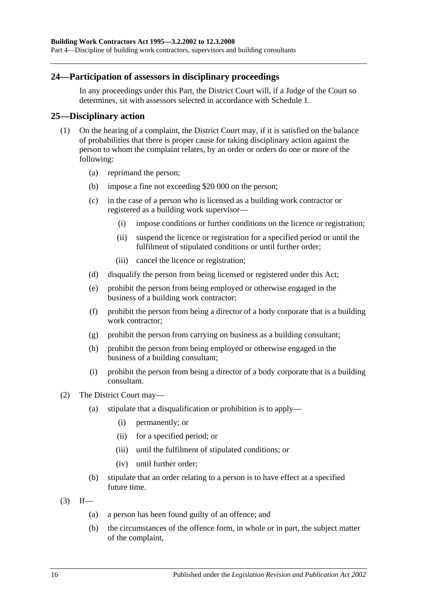### <span id="page-15-0"></span>**24—Participation of assessors in disciplinary proceedings**

In any proceedings under this Part, the District Court will, if a Judge of the Court so determines, sit with assessors selected in accordance with [Schedule 1.](#page-32-0)

### <span id="page-15-1"></span>**25—Disciplinary action**

- (1) On the hearing of a complaint, the District Court may, if it is satisfied on the balance of probabilities that there is proper cause for taking disciplinary action against the person to whom the complaint relates, by an order or orders do one or more of the following:
	- (a) reprimand the person;
	- (b) impose a fine not exceeding \$20 000 on the person;
	- (c) in the case of a person who is licensed as a building work contractor or registered as a building work supervisor—
		- (i) impose conditions or further conditions on the licence or registration;
		- (ii) suspend the licence or registration for a specified period or until the fulfilment of stipulated conditions or until further order;
		- (iii) cancel the licence or registration;
	- (d) disqualify the person from being licensed or registered under this Act;
	- (e) prohibit the person from being employed or otherwise engaged in the business of a building work contractor;
	- (f) prohibit the person from being a director of a body corporate that is a building work contractor;
	- (g) prohibit the person from carrying on business as a building consultant;
	- (h) prohibit the person from being employed or otherwise engaged in the business of a building consultant;
	- (i) prohibit the person from being a director of a body corporate that is a building consultant.
- (2) The District Court may—
	- (a) stipulate that a disqualification or prohibition is to apply—
		- (i) permanently; or
		- (ii) for a specified period; or
		- (iii) until the fulfilment of stipulated conditions; or
		- (iv) until further order;
	- (b) stipulate that an order relating to a person is to have effect at a specified future time.
- $(3)$  If—
	- (a) a person has been found guilty of an offence; and
	- (b) the circumstances of the offence form, in whole or in part, the subject matter of the complaint,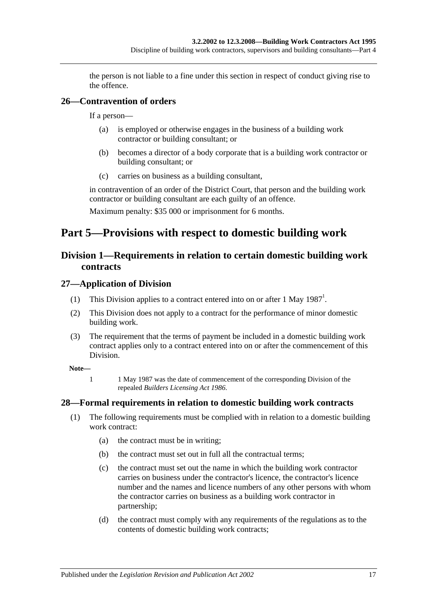the person is not liable to a fine under this section in respect of conduct giving rise to the offence.

### <span id="page-16-0"></span>**26—Contravention of orders**

If a person—

- (a) is employed or otherwise engages in the business of a building work contractor or building consultant; or
- (b) becomes a director of a body corporate that is a building work contractor or building consultant; or
- (c) carries on business as a building consultant,

in contravention of an order of the District Court, that person and the building work contractor or building consultant are each guilty of an offence.

Maximum penalty: \$35 000 or imprisonment for 6 months.

## <span id="page-16-2"></span><span id="page-16-1"></span>**Part 5—Provisions with respect to domestic building work**

### **Division 1—Requirements in relation to certain domestic building work contracts**

### <span id="page-16-3"></span>**27—Application of Division**

- (1) This Division applies to a contract entered into on or after 1 May  $1987<sup>1</sup>$ .
- (2) This Division does not apply to a contract for the performance of minor domestic building work.
- (3) The requirement that the terms of payment be included in a domestic building work contract applies only to a contract entered into on or after the commencement of this Division.

**Note—**

1 1 May 1987 was the date of commencement of the corresponding Division of the repealed *[Builders Licensing Act](http://www.legislation.sa.gov.au/index.aspx?action=legref&type=act&legtitle=Builders%20Licensing%20Act%201986) 1986*.

### <span id="page-16-5"></span><span id="page-16-4"></span>**28—Formal requirements in relation to domestic building work contracts**

- (1) The following requirements must be complied with in relation to a domestic building work contract:
	- (a) the contract must be in writing;
	- (b) the contract must set out in full all the contractual terms;
	- (c) the contract must set out the name in which the building work contractor carries on business under the contractor's licence, the contractor's licence number and the names and licence numbers of any other persons with whom the contractor carries on business as a building work contractor in partnership;
	- (d) the contract must comply with any requirements of the regulations as to the contents of domestic building work contracts;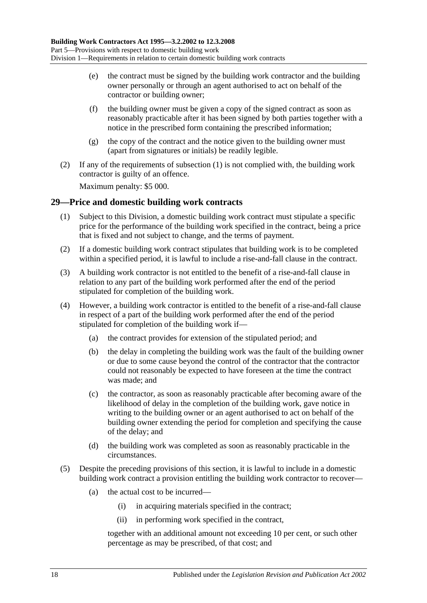- (e) the contract must be signed by the building work contractor and the building owner personally or through an agent authorised to act on behalf of the contractor or building owner;
- (f) the building owner must be given a copy of the signed contract as soon as reasonably practicable after it has been signed by both parties together with a notice in the prescribed form containing the prescribed information;
- (g) the copy of the contract and the notice given to the building owner must (apart from signatures or initials) be readily legible.
- (2) If any of the requirements of [subsection](#page-16-5) (1) is not complied with, the building work contractor is guilty of an offence.

Maximum penalty: \$5 000.

### <span id="page-17-0"></span>**29—Price and domestic building work contracts**

- (1) Subject to this Division, a domestic building work contract must stipulate a specific price for the performance of the building work specified in the contract, being a price that is fixed and not subject to change, and the terms of payment.
- (2) If a domestic building work contract stipulates that building work is to be completed within a specified period, it is lawful to include a rise-and-fall clause in the contract.
- (3) A building work contractor is not entitled to the benefit of a rise-and-fall clause in relation to any part of the building work performed after the end of the period stipulated for completion of the building work.
- (4) However, a building work contractor is entitled to the benefit of a rise-and-fall clause in respect of a part of the building work performed after the end of the period stipulated for completion of the building work if—
	- (a) the contract provides for extension of the stipulated period; and
	- (b) the delay in completing the building work was the fault of the building owner or due to some cause beyond the control of the contractor that the contractor could not reasonably be expected to have foreseen at the time the contract was made; and
	- (c) the contractor, as soon as reasonably practicable after becoming aware of the likelihood of delay in the completion of the building work, gave notice in writing to the building owner or an agent authorised to act on behalf of the building owner extending the period for completion and specifying the cause of the delay; and
	- (d) the building work was completed as soon as reasonably practicable in the circumstances.
- <span id="page-17-1"></span>(5) Despite the preceding provisions of this section, it is lawful to include in a domestic building work contract a provision entitling the building work contractor to recover—
	- (a) the actual cost to be incurred—
		- (i) in acquiring materials specified in the contract;
		- (ii) in performing work specified in the contract,

together with an additional amount not exceeding 10 per cent, or such other percentage as may be prescribed, of that cost; and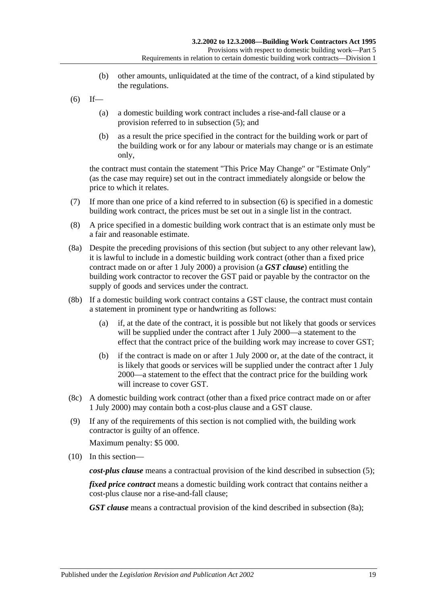- (b) other amounts, unliquidated at the time of the contract, of a kind stipulated by the regulations.
- <span id="page-18-0"></span> $(6)$  If—
	- (a) a domestic building work contract includes a rise-and-fall clause or a provision referred to in [subsection](#page-17-1) (5); and
	- (b) as a result the price specified in the contract for the building work or part of the building work or for any labour or materials may change or is an estimate only,

the contract must contain the statement "This Price May Change" or "Estimate Only" (as the case may require) set out in the contract immediately alongside or below the price to which it relates.

- (7) If more than one price of a kind referred to in [subsection](#page-18-0) (6) is specified in a domestic building work contract, the prices must be set out in a single list in the contract.
- (8) A price specified in a domestic building work contract that is an estimate only must be a fair and reasonable estimate.
- <span id="page-18-1"></span>(8a) Despite the preceding provisions of this section (but subject to any other relevant law), it is lawful to include in a domestic building work contract (other than a fixed price contract made on or after 1 July 2000) a provision (a *GST clause*) entitling the building work contractor to recover the GST paid or payable by the contractor on the supply of goods and services under the contract.
- (8b) If a domestic building work contract contains a GST clause, the contract must contain a statement in prominent type or handwriting as follows:
	- (a) if, at the date of the contract, it is possible but not likely that goods or services will be supplied under the contract after 1 July 2000—a statement to the effect that the contract price of the building work may increase to cover GST;
	- (b) if the contract is made on or after 1 July 2000 or, at the date of the contract, it is likely that goods or services will be supplied under the contract after 1 July 2000—a statement to the effect that the contract price for the building work will increase to cover GST.
- (8c) A domestic building work contract (other than a fixed price contract made on or after 1 July 2000) may contain both a cost-plus clause and a GST clause.
- (9) If any of the requirements of this section is not complied with, the building work contractor is guilty of an offence.

Maximum penalty: \$5 000.

(10) In this section—

*cost-plus clause* means a contractual provision of the kind described in [subsection](#page-17-1) (5);

*fixed price contract* means a domestic building work contract that contains neither a cost-plus clause nor a rise-and-fall clause;

*GST clause* means a contractual provision of the kind described in [subsection](#page-18-1) (8a);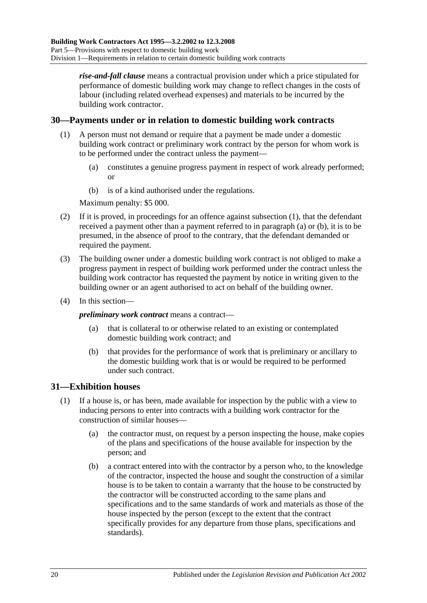*rise-and-fall clause* means a contractual provision under which a price stipulated for performance of domestic building work may change to reflect changes in the costs of labour (including related overhead expenses) and materials to be incurred by the building work contractor.

### <span id="page-19-2"></span><span id="page-19-0"></span>**30—Payments under or in relation to domestic building work contracts**

- <span id="page-19-3"></span>(1) A person must not demand or require that a payment be made under a domestic building work contract or preliminary work contract by the person for whom work is to be performed under the contract unless the payment—
	- (a) constitutes a genuine progress payment in respect of work already performed; or
	- (b) is of a kind authorised under the regulations.

Maximum penalty: \$5 000.

- <span id="page-19-4"></span>(2) If it is proved, in proceedings for an offence against [subsection](#page-19-2) (1), that the defendant received a payment other than a payment referred to in [paragraph](#page-19-3) (a) or [\(b\),](#page-19-4) it is to be presumed, in the absence of proof to the contrary, that the defendant demanded or required the payment.
- (3) The building owner under a domestic building work contract is not obliged to make a progress payment in respect of building work performed under the contract unless the building work contractor has requested the payment by notice in writing given to the building owner or an agent authorised to act on behalf of the building owner.
- (4) In this section—

*preliminary work contract* means a contract—

- (a) that is collateral to or otherwise related to an existing or contemplated domestic building work contract; and
- (b) that provides for the performance of work that is preliminary or ancillary to the domestic building work that is or would be required to be performed under such contract.

### <span id="page-19-1"></span>**31—Exhibition houses**

- <span id="page-19-5"></span>(1) If a house is, or has been, made available for inspection by the public with a view to inducing persons to enter into contracts with a building work contractor for the construction of similar houses—
	- (a) the contractor must, on request by a person inspecting the house, make copies of the plans and specifications of the house available for inspection by the person; and
	- (b) a contract entered into with the contractor by a person who, to the knowledge of the contractor, inspected the house and sought the construction of a similar house is to be taken to contain a warranty that the house to be constructed by the contractor will be constructed according to the same plans and specifications and to the same standards of work and materials as those of the house inspected by the person (except to the extent that the contract specifically provides for any departure from those plans, specifications and standards).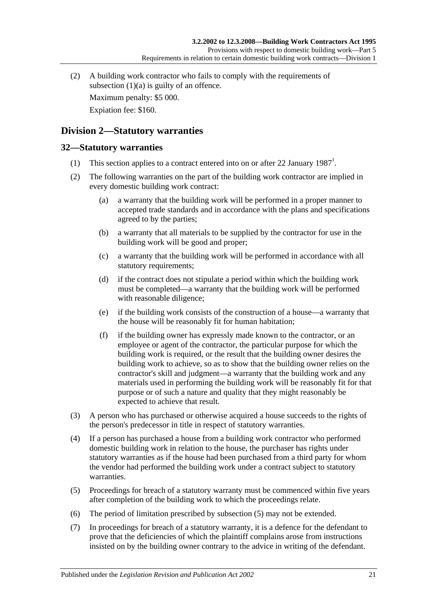(2) A building work contractor who fails to comply with the requirements of [subsection](#page-19-5)  $(1)(a)$  is guilty of an offence.

Maximum penalty: \$5 000.

Expiation fee: \$160.

### <span id="page-20-0"></span>**Division 2—Statutory warranties**

### <span id="page-20-1"></span>**32—Statutory warranties**

- (1) This section applies to a contract entered into on or after 22 January  $1987<sup>1</sup>$ .
- (2) The following warranties on the part of the building work contractor are implied in every domestic building work contract:
	- (a) a warranty that the building work will be performed in a proper manner to accepted trade standards and in accordance with the plans and specifications agreed to by the parties;
	- (b) a warranty that all materials to be supplied by the contractor for use in the building work will be good and proper;
	- (c) a warranty that the building work will be performed in accordance with all statutory requirements;
	- (d) if the contract does not stipulate a period within which the building work must be completed—a warranty that the building work will be performed with reasonable diligence;
	- (e) if the building work consists of the construction of a house—a warranty that the house will be reasonably fit for human habitation;
	- (f) if the building owner has expressly made known to the contractor, or an employee or agent of the contractor, the particular purpose for which the building work is required, or the result that the building owner desires the building work to achieve, so as to show that the building owner relies on the contractor's skill and judgment—a warranty that the building work and any materials used in performing the building work will be reasonably fit for that purpose or of such a nature and quality that they might reasonably be expected to achieve that result.
- (3) A person who has purchased or otherwise acquired a house succeeds to the rights of the person's predecessor in title in respect of statutory warranties.
- (4) If a person has purchased a house from a building work contractor who performed domestic building work in relation to the house, the purchaser has rights under statutory warranties as if the house had been purchased from a third party for whom the vendor had performed the building work under a contract subject to statutory warranties.
- <span id="page-20-2"></span>(5) Proceedings for breach of a statutory warranty must be commenced within five years after completion of the building work to which the proceedings relate.
- (6) The period of limitation prescribed by [subsection](#page-20-2) (5) may not be extended.
- (7) In proceedings for breach of a statutory warranty, it is a defence for the defendant to prove that the deficiencies of which the plaintiff complains arose from instructions insisted on by the building owner contrary to the advice in writing of the defendant.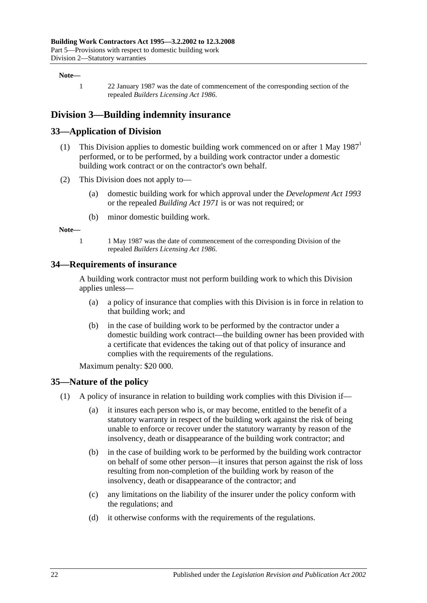#### **Note—**

1 22 January 1987 was the date of commencement of the corresponding section of the repealed *[Builders Licensing Act](http://www.legislation.sa.gov.au/index.aspx?action=legref&type=act&legtitle=Builders%20Licensing%20Act%201986) 1986*.

### <span id="page-21-0"></span>**Division 3—Building indemnity insurance**

### <span id="page-21-1"></span>**33—Application of Division**

- (1) This Division applies to domestic building work commenced on or after  $1$  May  $1987<sup>1</sup>$ performed, or to be performed, by a building work contractor under a domestic building work contract or on the contractor's own behalf.
- (2) This Division does not apply to—
	- (a) domestic building work for which approval under the *[Development Act](http://www.legislation.sa.gov.au/index.aspx?action=legref&type=act&legtitle=Development%20Act%201993) 1993* or the repealed *[Building Act](http://www.legislation.sa.gov.au/index.aspx?action=legref&type=act&legtitle=Building%20Act%201971) 1971* is or was not required; or
	- (b) minor domestic building work.

**Note—**

1 1 May 1987 was the date of commencement of the corresponding Division of the repealed *[Builders Licensing Act](http://www.legislation.sa.gov.au/index.aspx?action=legref&type=act&legtitle=Builders%20Licensing%20Act%201986) 1986*.

#### <span id="page-21-2"></span>**34—Requirements of insurance**

A building work contractor must not perform building work to which this Division applies unless—

- (a) a policy of insurance that complies with this Division is in force in relation to that building work; and
- (b) in the case of building work to be performed by the contractor under a domestic building work contract—the building owner has been provided with a certificate that evidences the taking out of that policy of insurance and complies with the requirements of the regulations.

Maximum penalty: \$20 000.

#### <span id="page-21-3"></span>**35—Nature of the policy**

- (1) A policy of insurance in relation to building work complies with this Division if—
	- (a) it insures each person who is, or may become, entitled to the benefit of a statutory warranty in respect of the building work against the risk of being unable to enforce or recover under the statutory warranty by reason of the insolvency, death or disappearance of the building work contractor; and
	- (b) in the case of building work to be performed by the building work contractor on behalf of some other person—it insures that person against the risk of loss resulting from non-completion of the building work by reason of the insolvency, death or disappearance of the contractor; and
	- (c) any limitations on the liability of the insurer under the policy conform with the regulations; and
	- (d) it otherwise conforms with the requirements of the regulations.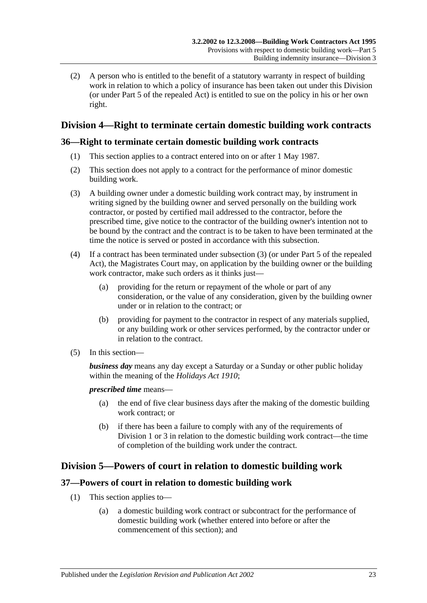(2) A person who is entitled to the benefit of a statutory warranty in respect of building work in relation to which a policy of insurance has been taken out under this Division (or under Part 5 of the repealed Act) is entitled to sue on the policy in his or her own right.

### <span id="page-22-0"></span>**Division 4—Right to terminate certain domestic building work contracts**

### <span id="page-22-1"></span>**36—Right to terminate certain domestic building work contracts**

- (1) This section applies to a contract entered into on or after 1 May 1987.
- (2) This section does not apply to a contract for the performance of minor domestic building work.
- <span id="page-22-4"></span>(3) A building owner under a domestic building work contract may, by instrument in writing signed by the building owner and served personally on the building work contractor, or posted by certified mail addressed to the contractor, before the prescribed time, give notice to the contractor of the building owner's intention not to be bound by the contract and the contract is to be taken to have been terminated at the time the notice is served or posted in accordance with this subsection.
- (4) If a contract has been terminated under [subsection](#page-22-4) (3) (or under Part 5 of the repealed Act), the Magistrates Court may, on application by the building owner or the building work contractor, make such orders as it thinks just—
	- (a) providing for the return or repayment of the whole or part of any consideration, or the value of any consideration, given by the building owner under or in relation to the contract; or
	- (b) providing for payment to the contractor in respect of any materials supplied, or any building work or other services performed, by the contractor under or in relation to the contract.
- (5) In this section—

*business day* means any day except a Saturday or a Sunday or other public holiday within the meaning of the *[Holidays Act](http://www.legislation.sa.gov.au/index.aspx?action=legref&type=act&legtitle=Holidays%20Act%201910) 1910*;

*prescribed time* means—

- (a) the end of five clear business days after the making of the domestic building work contract; or
- (b) if there has been a failure to comply with any of the requirements of [Division](#page-16-2) 1 or [3](#page-21-0) in relation to the domestic building work contract—the time of completion of the building work under the contract.

### <span id="page-22-2"></span>**Division 5—Powers of court in relation to domestic building work**

### <span id="page-22-3"></span>**37—Powers of court in relation to domestic building work**

- (1) This section applies to—
	- (a) a domestic building work contract or subcontract for the performance of domestic building work (whether entered into before or after the commencement of this section); and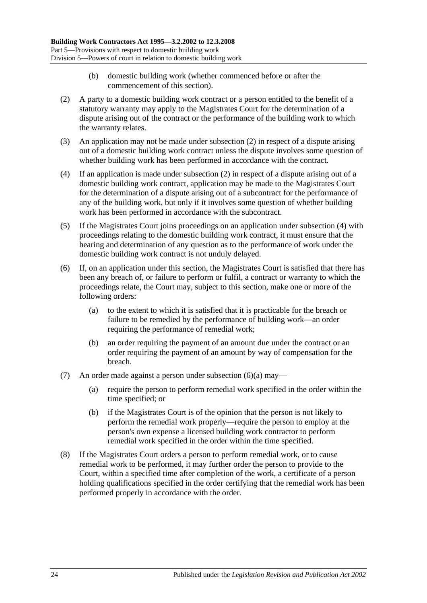- (b) domestic building work (whether commenced before or after the commencement of this section).
- <span id="page-23-0"></span>(2) A party to a domestic building work contract or a person entitled to the benefit of a statutory warranty may apply to the Magistrates Court for the determination of a dispute arising out of the contract or the performance of the building work to which the warranty relates.
- (3) An application may not be made under [subsection](#page-23-0) (2) in respect of a dispute arising out of a domestic building work contract unless the dispute involves some question of whether building work has been performed in accordance with the contract.
- <span id="page-23-1"></span>(4) If an application is made under [subsection](#page-23-0) (2) in respect of a dispute arising out of a domestic building work contract, application may be made to the Magistrates Court for the determination of a dispute arising out of a subcontract for the performance of any of the building work, but only if it involves some question of whether building work has been performed in accordance with the subcontract.
- (5) If the Magistrates Court joins proceedings on an application under [subsection](#page-23-1) (4) with proceedings relating to the domestic building work contract, it must ensure that the hearing and determination of any question as to the performance of work under the domestic building work contract is not unduly delayed.
- <span id="page-23-2"></span>(6) If, on an application under this section, the Magistrates Court is satisfied that there has been any breach of, or failure to perform or fulfil, a contract or warranty to which the proceedings relate, the Court may, subject to this section, make one or more of the following orders:
	- (a) to the extent to which it is satisfied that it is practicable for the breach or failure to be remedied by the performance of building work—an order requiring the performance of remedial work;
	- (b) an order requiring the payment of an amount due under the contract or an order requiring the payment of an amount by way of compensation for the breach.
- (7) An order made against a person under [subsection](#page-23-2)  $(6)(a)$  may—
	- (a) require the person to perform remedial work specified in the order within the time specified; or
	- (b) if the Magistrates Court is of the opinion that the person is not likely to perform the remedial work properly—require the person to employ at the person's own expense a licensed building work contractor to perform remedial work specified in the order within the time specified.
- (8) If the Magistrates Court orders a person to perform remedial work, or to cause remedial work to be performed, it may further order the person to provide to the Court, within a specified time after completion of the work, a certificate of a person holding qualifications specified in the order certifying that the remedial work has been performed properly in accordance with the order.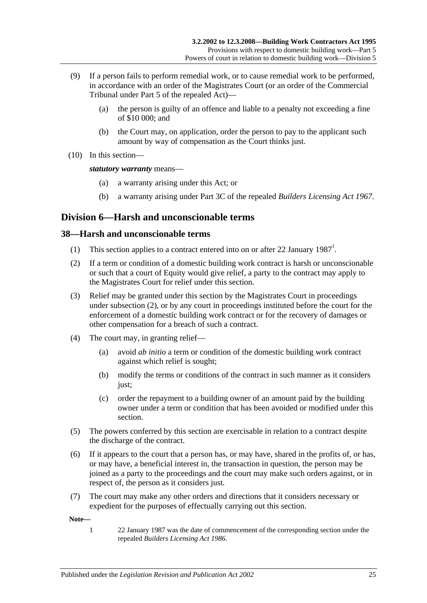- (9) If a person fails to perform remedial work, or to cause remedial work to be performed, in accordance with an order of the Magistrates Court (or an order of the Commercial Tribunal under Part 5 of the repealed Act)—
	- (a) the person is guilty of an offence and liable to a penalty not exceeding a fine of \$10 000; and
	- (b) the Court may, on application, order the person to pay to the applicant such amount by way of compensation as the Court thinks just.
- (10) In this section—

#### *statutory warranty* means—

- (a) a warranty arising under this Act; or
- (b) a warranty arising under Part 3C of the repealed *[Builders Licensing Act](http://www.legislation.sa.gov.au/index.aspx?action=legref&type=act&legtitle=Builders%20Licensing%20Act%201967) 1967*.

### <span id="page-24-0"></span>**Division 6—Harsh and unconscionable terms**

### <span id="page-24-1"></span>**38—Harsh and unconscionable terms**

- (1) This section applies to a contract entered into on or after 22 January  $1987<sup>1</sup>$ .
- <span id="page-24-2"></span>(2) If a term or condition of a domestic building work contract is harsh or unconscionable or such that a court of Equity would give relief, a party to the contract may apply to the Magistrates Court for relief under this section.
- (3) Relief may be granted under this section by the Magistrates Court in proceedings under [subsection](#page-24-2) (2), or by any court in proceedings instituted before the court for the enforcement of a domestic building work contract or for the recovery of damages or other compensation for a breach of such a contract.
- (4) The court may, in granting relief—
	- (a) avoid *ab initio* a term or condition of the domestic building work contract against which relief is sought;
	- (b) modify the terms or conditions of the contract in such manner as it considers just;
	- (c) order the repayment to a building owner of an amount paid by the building owner under a term or condition that has been avoided or modified under this section.
- (5) The powers conferred by this section are exercisable in relation to a contract despite the discharge of the contract.
- (6) If it appears to the court that a person has, or may have, shared in the profits of, or has, or may have, a beneficial interest in, the transaction in question, the person may be joined as a party to the proceedings and the court may make such orders against, or in respect of, the person as it considers just.
- (7) The court may make any other orders and directions that it considers necessary or expedient for the purposes of effectually carrying out this section.

**Note—**

1 22 January 1987 was the date of commencement of the corresponding section under the repealed *[Builders Licensing Act](http://www.legislation.sa.gov.au/index.aspx?action=legref&type=act&legtitle=Builders%20Licensing%20Act%201986) 1986*.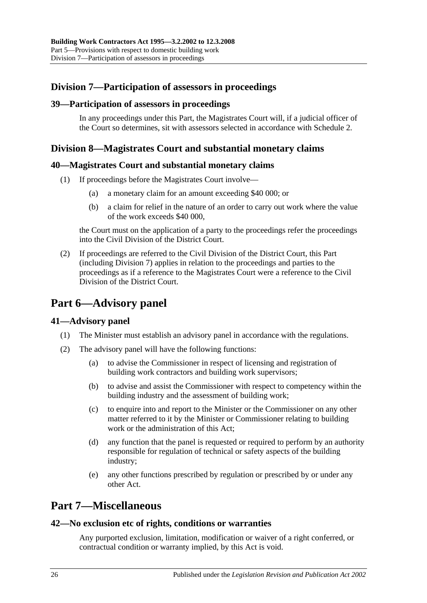### <span id="page-25-0"></span>**Division 7—Participation of assessors in proceedings**

### <span id="page-25-1"></span>**39—Participation of assessors in proceedings**

In any proceedings under this Part, the Magistrates Court will, if a judicial officer of the Court so determines, sit with assessors selected in accordance with [Schedule 2.](#page-33-0)

### <span id="page-25-2"></span>**Division 8—Magistrates Court and substantial monetary claims**

### <span id="page-25-3"></span>**40—Magistrates Court and substantial monetary claims**

- (1) If proceedings before the Magistrates Court involve—
	- (a) a monetary claim for an amount exceeding \$40 000; or
	- (b) a claim for relief in the nature of an order to carry out work where the value of the work exceeds \$40 000,

the Court must on the application of a party to the proceedings refer the proceedings into the Civil Division of the District Court.

(2) If proceedings are referred to the Civil Division of the District Court, this Part (including [Division 7\)](#page-25-0) applies in relation to the proceedings and parties to the proceedings as if a reference to the Magistrates Court were a reference to the Civil Division of the District Court.

## <span id="page-25-4"></span>**Part 6—Advisory panel**

### <span id="page-25-5"></span>**41—Advisory panel**

- (1) The Minister must establish an advisory panel in accordance with the regulations.
- (2) The advisory panel will have the following functions:
	- (a) to advise the Commissioner in respect of licensing and registration of building work contractors and building work supervisors;
	- (b) to advise and assist the Commissioner with respect to competency within the building industry and the assessment of building work;
	- (c) to enquire into and report to the Minister or the Commissioner on any other matter referred to it by the Minister or Commissioner relating to building work or the administration of this Act;
	- (d) any function that the panel is requested or required to perform by an authority responsible for regulation of technical or safety aspects of the building industry;
	- (e) any other functions prescribed by regulation or prescribed by or under any other Act.

## <span id="page-25-6"></span>**Part 7—Miscellaneous**

### <span id="page-25-7"></span>**42—No exclusion etc of rights, conditions or warranties**

Any purported exclusion, limitation, modification or waiver of a right conferred, or contractual condition or warranty implied, by this Act is void.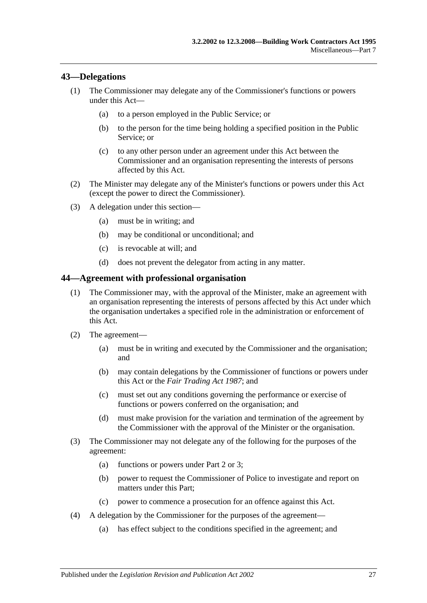### <span id="page-26-0"></span>**43—Delegations**

- (1) The Commissioner may delegate any of the Commissioner's functions or powers under this Act—
	- (a) to a person employed in the Public Service; or
	- (b) to the person for the time being holding a specified position in the Public Service; or
	- (c) to any other person under an agreement under this Act between the Commissioner and an organisation representing the interests of persons affected by this Act.
- (2) The Minister may delegate any of the Minister's functions or powers under this Act (except the power to direct the Commissioner).
- (3) A delegation under this section—
	- (a) must be in writing; and
	- (b) may be conditional or unconditional; and
	- (c) is revocable at will; and
	- (d) does not prevent the delegator from acting in any matter.

#### <span id="page-26-1"></span>**44—Agreement with professional organisation**

- (1) The Commissioner may, with the approval of the Minister, make an agreement with an organisation representing the interests of persons affected by this Act under which the organisation undertakes a specified role in the administration or enforcement of this Act.
- (2) The agreement—
	- (a) must be in writing and executed by the Commissioner and the organisation; and
	- (b) may contain delegations by the Commissioner of functions or powers under this Act or the *[Fair Trading Act](http://www.legislation.sa.gov.au/index.aspx?action=legref&type=act&legtitle=Fair%20Trading%20Act%201987) 1987*; and
	- (c) must set out any conditions governing the performance or exercise of functions or powers conferred on the organisation; and
	- (d) must make provision for the variation and termination of the agreement by the Commissioner with the approval of the Minister or the organisation.
- (3) The Commissioner may not delegate any of the following for the purposes of the agreement:
	- (a) functions or powers under [Part 2](#page-4-2) or [3;](#page-8-1)
	- (b) power to request the Commissioner of Police to investigate and report on matters under this Part;
	- (c) power to commence a prosecution for an offence against this Act.
- (4) A delegation by the Commissioner for the purposes of the agreement—
	- (a) has effect subject to the conditions specified in the agreement; and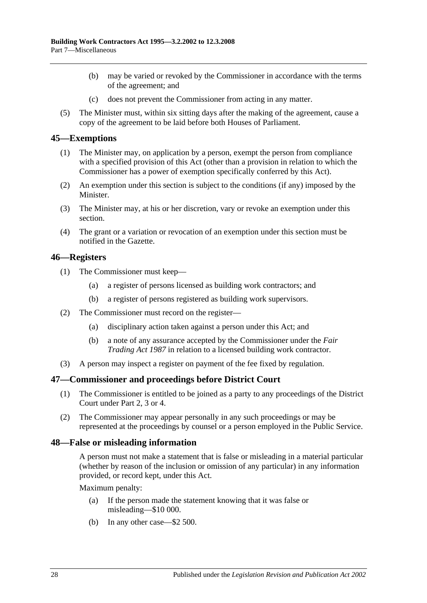- (b) may be varied or revoked by the Commissioner in accordance with the terms of the agreement; and
- (c) does not prevent the Commissioner from acting in any matter.
- (5) The Minister must, within six sitting days after the making of the agreement, cause a copy of the agreement to be laid before both Houses of Parliament.

#### <span id="page-27-0"></span>**45—Exemptions**

- (1) The Minister may, on application by a person, exempt the person from compliance with a specified provision of this Act (other than a provision in relation to which the Commissioner has a power of exemption specifically conferred by this Act).
- (2) An exemption under this section is subject to the conditions (if any) imposed by the Minister.
- (3) The Minister may, at his or her discretion, vary or revoke an exemption under this section.
- (4) The grant or a variation or revocation of an exemption under this section must be notified in the Gazette.

### <span id="page-27-1"></span>**46—Registers**

- (1) The Commissioner must keep—
	- (a) a register of persons licensed as building work contractors; and
	- (b) a register of persons registered as building work supervisors.
- (2) The Commissioner must record on the register—
	- (a) disciplinary action taken against a person under this Act; and
	- (b) a note of any assurance accepted by the Commissioner under the *[Fair](http://www.legislation.sa.gov.au/index.aspx?action=legref&type=act&legtitle=Fair%20Trading%20Act%201987)  [Trading Act](http://www.legislation.sa.gov.au/index.aspx?action=legref&type=act&legtitle=Fair%20Trading%20Act%201987) 1987* in relation to a licensed building work contractor.
- (3) A person may inspect a register on payment of the fee fixed by regulation.

#### <span id="page-27-2"></span>**47—Commissioner and proceedings before District Court**

- (1) The Commissioner is entitled to be joined as a party to any proceedings of the District Court under [Part 2,](#page-4-2) [3](#page-8-1) or [4.](#page-13-0)
- (2) The Commissioner may appear personally in any such proceedings or may be represented at the proceedings by counsel or a person employed in the Public Service.

#### <span id="page-27-3"></span>**48—False or misleading information**

A person must not make a statement that is false or misleading in a material particular (whether by reason of the inclusion or omission of any particular) in any information provided, or record kept, under this Act.

Maximum penalty:

- (a) If the person made the statement knowing that it was false or misleading—\$10 000.
- (b) In any other case—\$2 500.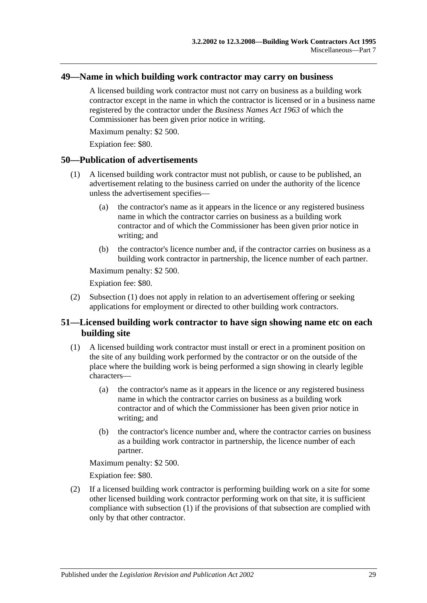### <span id="page-28-0"></span>**49—Name in which building work contractor may carry on business**

A licensed building work contractor must not carry on business as a building work contractor except in the name in which the contractor is licensed or in a business name registered by the contractor under the *[Business Names Act](http://www.legislation.sa.gov.au/index.aspx?action=legref&type=act&legtitle=Business%20Names%20Act%201963) 1963* of which the Commissioner has been given prior notice in writing.

Maximum penalty: \$2 500.

Expiation fee: \$80.

### <span id="page-28-3"></span><span id="page-28-1"></span>**50—Publication of advertisements**

- (1) A licensed building work contractor must not publish, or cause to be published, an advertisement relating to the business carried on under the authority of the licence unless the advertisement specifies—
	- (a) the contractor's name as it appears in the licence or any registered business name in which the contractor carries on business as a building work contractor and of which the Commissioner has been given prior notice in writing; and
	- (b) the contractor's licence number and, if the contractor carries on business as a building work contractor in partnership, the licence number of each partner.

Maximum penalty: \$2 500.

Expiation fee: \$80.

(2) [Subsection](#page-28-3) (1) does not apply in relation to an advertisement offering or seeking applications for employment or directed to other building work contractors.

### <span id="page-28-2"></span>**51—Licensed building work contractor to have sign showing name etc on each building site**

- <span id="page-28-4"></span>(1) A licensed building work contractor must install or erect in a prominent position on the site of any building work performed by the contractor or on the outside of the place where the building work is being performed a sign showing in clearly legible characters—
	- (a) the contractor's name as it appears in the licence or any registered business name in which the contractor carries on business as a building work contractor and of which the Commissioner has been given prior notice in writing; and
	- (b) the contractor's licence number and, where the contractor carries on business as a building work contractor in partnership, the licence number of each partner.

Maximum penalty: \$2 500.

Expiation fee: \$80.

(2) If a licensed building work contractor is performing building work on a site for some other licensed building work contractor performing work on that site, it is sufficient compliance with [subsection](#page-28-4) (1) if the provisions of that subsection are complied with only by that other contractor.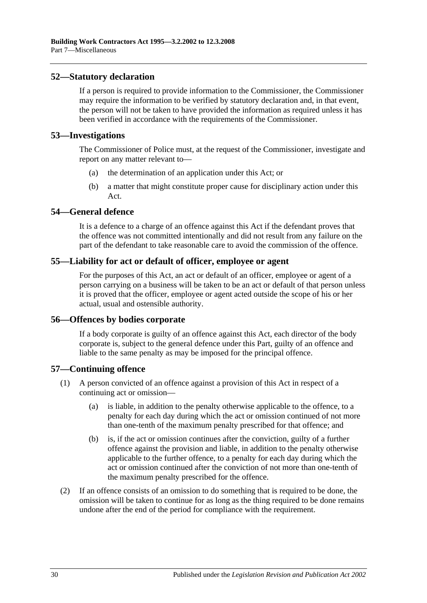### <span id="page-29-0"></span>**52—Statutory declaration**

If a person is required to provide information to the Commissioner, the Commissioner may require the information to be verified by statutory declaration and, in that event, the person will not be taken to have provided the information as required unless it has been verified in accordance with the requirements of the Commissioner.

### <span id="page-29-1"></span>**53—Investigations**

The Commissioner of Police must, at the request of the Commissioner, investigate and report on any matter relevant to—

- (a) the determination of an application under this Act; or
- (b) a matter that might constitute proper cause for disciplinary action under this Act.

### <span id="page-29-2"></span>**54—General defence**

It is a defence to a charge of an offence against this Act if the defendant proves that the offence was not committed intentionally and did not result from any failure on the part of the defendant to take reasonable care to avoid the commission of the offence.

### <span id="page-29-3"></span>**55—Liability for act or default of officer, employee or agent**

For the purposes of this Act, an act or default of an officer, employee or agent of a person carrying on a business will be taken to be an act or default of that person unless it is proved that the officer, employee or agent acted outside the scope of his or her actual, usual and ostensible authority.

#### <span id="page-29-4"></span>**56—Offences by bodies corporate**

If a body corporate is guilty of an offence against this Act, each director of the body corporate is, subject to the general defence under this Part, guilty of an offence and liable to the same penalty as may be imposed for the principal offence.

### <span id="page-29-5"></span>**57—Continuing offence**

- (1) A person convicted of an offence against a provision of this Act in respect of a continuing act or omission—
	- (a) is liable, in addition to the penalty otherwise applicable to the offence, to a penalty for each day during which the act or omission continued of not more than one-tenth of the maximum penalty prescribed for that offence; and
	- (b) is, if the act or omission continues after the conviction, guilty of a further offence against the provision and liable, in addition to the penalty otherwise applicable to the further offence, to a penalty for each day during which the act or omission continued after the conviction of not more than one-tenth of the maximum penalty prescribed for the offence.
- (2) If an offence consists of an omission to do something that is required to be done, the omission will be taken to continue for as long as the thing required to be done remains undone after the end of the period for compliance with the requirement.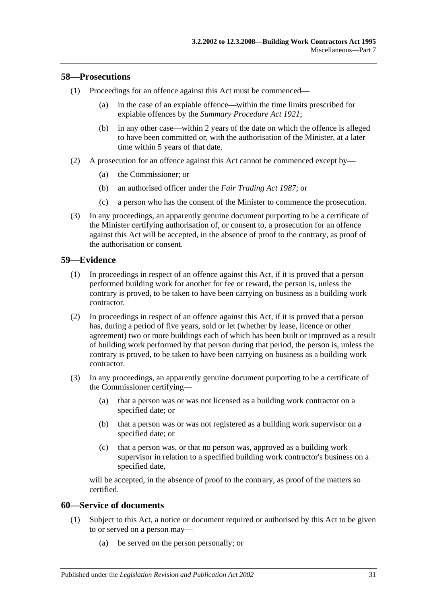#### <span id="page-30-0"></span>**58—Prosecutions**

- (1) Proceedings for an offence against this Act must be commenced—
	- (a) in the case of an expiable offence—within the time limits prescribed for expiable offences by the *[Summary Procedure Act](http://www.legislation.sa.gov.au/index.aspx?action=legref&type=act&legtitle=Summary%20Procedure%20Act%201921) 1921*;
	- (b) in any other case—within 2 years of the date on which the offence is alleged to have been committed or, with the authorisation of the Minister, at a later time within 5 years of that date.
- (2) A prosecution for an offence against this Act cannot be commenced except by—
	- (a) the Commissioner; or
	- (b) an authorised officer under the *[Fair Trading Act](http://www.legislation.sa.gov.au/index.aspx?action=legref&type=act&legtitle=Fair%20Trading%20Act%201987) 1987*; or
	- (c) a person who has the consent of the Minister to commence the prosecution.
- (3) In any proceedings, an apparently genuine document purporting to be a certificate of the Minister certifying authorisation of, or consent to, a prosecution for an offence against this Act will be accepted, in the absence of proof to the contrary, as proof of the authorisation or consent.

#### <span id="page-30-1"></span>**59—Evidence**

- (1) In proceedings in respect of an offence against this Act, if it is proved that a person performed building work for another for fee or reward, the person is, unless the contrary is proved, to be taken to have been carrying on business as a building work contractor.
- (2) In proceedings in respect of an offence against this Act, if it is proved that a person has, during a period of five years, sold or let (whether by lease, licence or other agreement) two or more buildings each of which has been built or improved as a result of building work performed by that person during that period, the person is, unless the contrary is proved, to be taken to have been carrying on business as a building work contractor.
- (3) In any proceedings, an apparently genuine document purporting to be a certificate of the Commissioner certifying—
	- (a) that a person was or was not licensed as a building work contractor on a specified date; or
	- (b) that a person was or was not registered as a building work supervisor on a specified date; or
	- (c) that a person was, or that no person was, approved as a building work supervisor in relation to a specified building work contractor's business on a specified date,

will be accepted, in the absence of proof to the contrary, as proof of the matters so certified.

### <span id="page-30-2"></span>**60—Service of documents**

- (1) Subject to this Act, a notice or document required or authorised by this Act to be given to or served on a person may—
	- (a) be served on the person personally; or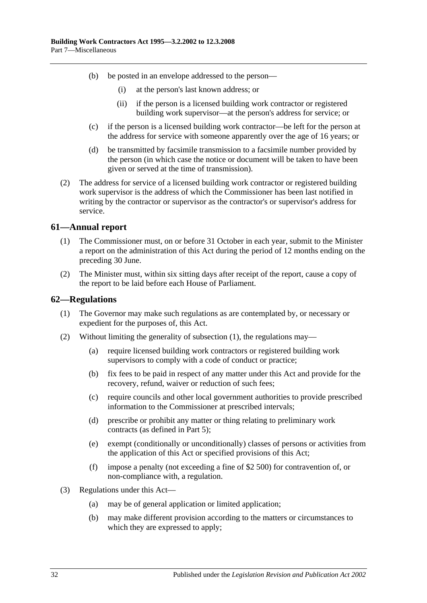- (b) be posted in an envelope addressed to the person—
	- (i) at the person's last known address; or
	- (ii) if the person is a licensed building work contractor or registered building work supervisor—at the person's address for service; or
- (c) if the person is a licensed building work contractor—be left for the person at the address for service with someone apparently over the age of 16 years; or
- (d) be transmitted by facsimile transmission to a facsimile number provided by the person (in which case the notice or document will be taken to have been given or served at the time of transmission).
- (2) The address for service of a licensed building work contractor or registered building work supervisor is the address of which the Commissioner has been last notified in writing by the contractor or supervisor as the contractor's or supervisor's address for service.

### <span id="page-31-0"></span>**61—Annual report**

- (1) The Commissioner must, on or before 31 October in each year, submit to the Minister a report on the administration of this Act during the period of 12 months ending on the preceding 30 June.
- (2) The Minister must, within six sitting days after receipt of the report, cause a copy of the report to be laid before each House of Parliament.

### <span id="page-31-2"></span><span id="page-31-1"></span>**62—Regulations**

- (1) The Governor may make such regulations as are contemplated by, or necessary or expedient for the purposes of, this Act.
- (2) Without limiting the generality of [subsection](#page-31-2) (1), the regulations may—
	- (a) require licensed building work contractors or registered building work supervisors to comply with a code of conduct or practice;
	- (b) fix fees to be paid in respect of any matter under this Act and provide for the recovery, refund, waiver or reduction of such fees;
	- (c) require councils and other local government authorities to provide prescribed information to the Commissioner at prescribed intervals;
	- (d) prescribe or prohibit any matter or thing relating to preliminary work contracts (as defined in [Part 5\)](#page-16-1);
	- (e) exempt (conditionally or unconditionally) classes of persons or activities from the application of this Act or specified provisions of this Act;
	- (f) impose a penalty (not exceeding a fine of \$2 500) for contravention of, or non-compliance with, a regulation.
- (3) Regulations under this Act—
	- (a) may be of general application or limited application;
	- (b) may make different provision according to the matters or circumstances to which they are expressed to apply;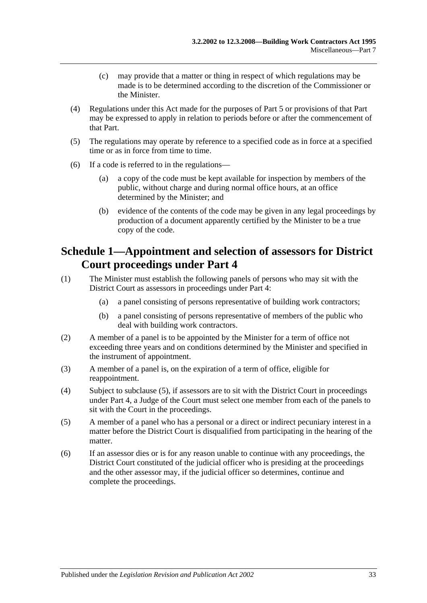- (c) may provide that a matter or thing in respect of which regulations may be made is to be determined according to the discretion of the Commissioner or the Minister.
- (4) Regulations under this Act made for the purposes of [Part 5](#page-16-1) or provisions of that Part may be expressed to apply in relation to periods before or after the commencement of that Part.
- (5) The regulations may operate by reference to a specified code as in force at a specified time or as in force from time to time.
- (6) If a code is referred to in the regulations—
	- (a) a copy of the code must be kept available for inspection by members of the public, without charge and during normal office hours, at an office determined by the Minister; and
	- (b) evidence of the contents of the code may be given in any legal proceedings by production of a document apparently certified by the Minister to be a true copy of the code.

## <span id="page-32-0"></span>**Schedule 1—Appointment and selection of assessors for District Court proceedings under [Part 4](#page-13-0)**

- (1) The Minister must establish the following panels of persons who may sit with the District Court as assessors in proceedings under [Part 4:](#page-13-0)
	- (a) a panel consisting of persons representative of building work contractors;
	- (b) a panel consisting of persons representative of members of the public who deal with building work contractors.
- (2) A member of a panel is to be appointed by the Minister for a term of office not exceeding three years and on conditions determined by the Minister and specified in the instrument of appointment.
- (3) A member of a panel is, on the expiration of a term of office, eligible for reappointment.
- (4) Subject to [subclause](#page-32-1) (5), if assessors are to sit with the District Court in proceedings under [Part 4,](#page-13-0) a Judge of the Court must select one member from each of the panels to sit with the Court in the proceedings.
- <span id="page-32-1"></span>(5) A member of a panel who has a personal or a direct or indirect pecuniary interest in a matter before the District Court is disqualified from participating in the hearing of the matter.
- (6) If an assessor dies or is for any reason unable to continue with any proceedings, the District Court constituted of the judicial officer who is presiding at the proceedings and the other assessor may, if the judicial officer so determines, continue and complete the proceedings.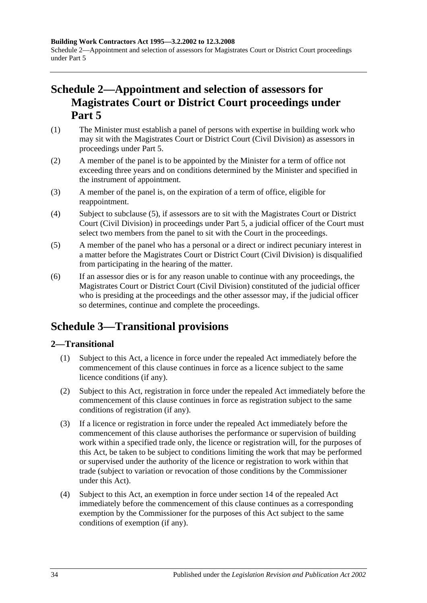**Building Work Contractors Act 1995—3.2.2002 to 12.3.2008** Schedule 2—Appointment and selection of assessors for Magistrates Court or District Court proceedings under [Part](#page-16-1) 5

## <span id="page-33-0"></span>**Schedule 2—Appointment and selection of assessors for Magistrates Court or District Court proceedings under [Part](#page-16-1) 5**

- (1) The Minister must establish a panel of persons with expertise in building work who may sit with the Magistrates Court or District Court (Civil Division) as assessors in proceedings under [Part 5.](#page-16-1)
- (2) A member of the panel is to be appointed by the Minister for a term of office not exceeding three years and on conditions determined by the Minister and specified in the instrument of appointment.
- (3) A member of the panel is, on the expiration of a term of office, eligible for reappointment.
- (4) Subject to [subclause](#page-33-3) (5), if assessors are to sit with the Magistrates Court or District Court (Civil Division) in proceedings under [Part 5,](#page-16-1) a judicial officer of the Court must select two members from the panel to sit with the Court in the proceedings.
- <span id="page-33-3"></span>(5) A member of the panel who has a personal or a direct or indirect pecuniary interest in a matter before the Magistrates Court or District Court (Civil Division) is disqualified from participating in the hearing of the matter.
- (6) If an assessor dies or is for any reason unable to continue with any proceedings, the Magistrates Court or District Court (Civil Division) constituted of the judicial officer who is presiding at the proceedings and the other assessor may, if the judicial officer so determines, continue and complete the proceedings.

## <span id="page-33-1"></span>**Schedule 3—Transitional provisions**

### <span id="page-33-2"></span>**2—Transitional**

- (1) Subject to this Act, a licence in force under the repealed Act immediately before the commencement of this clause continues in force as a licence subject to the same licence conditions (if any).
- (2) Subject to this Act, registration in force under the repealed Act immediately before the commencement of this clause continues in force as registration subject to the same conditions of registration (if any).
- (3) If a licence or registration in force under the repealed Act immediately before the commencement of this clause authorises the performance or supervision of building work within a specified trade only, the licence or registration will, for the purposes of this Act, be taken to be subject to conditions limiting the work that may be performed or supervised under the authority of the licence or registration to work within that trade (subject to variation or revocation of those conditions by the Commissioner under this Act).
- (4) Subject to this Act, an exemption in force under section 14 of the repealed Act immediately before the commencement of this clause continues as a corresponding exemption by the Commissioner for the purposes of this Act subject to the same conditions of exemption (if any).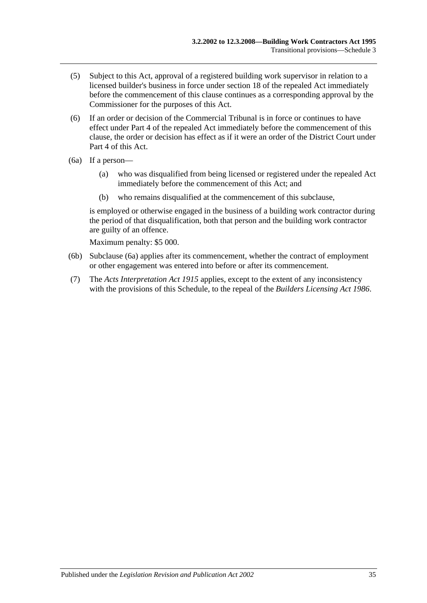- (5) Subject to this Act, approval of a registered building work supervisor in relation to a licensed builder's business in force under section 18 of the repealed Act immediately before the commencement of this clause continues as a corresponding approval by the Commissioner for the purposes of this Act.
- (6) If an order or decision of the Commercial Tribunal is in force or continues to have effect under Part 4 of the repealed Act immediately before the commencement of this clause, the order or decision has effect as if it were an order of the District Court under [Part 4](#page-13-0) of this Act.
- <span id="page-34-0"></span>(6a) If a person—
	- (a) who was disqualified from being licensed or registered under the repealed Act immediately before the commencement of this Act; and
	- (b) who remains disqualified at the commencement of this subclause,

is employed or otherwise engaged in the business of a building work contractor during the period of that disqualification, both that person and the building work contractor are guilty of an offence.

Maximum penalty: \$5 000.

- (6b) [Subclause](#page-34-0) (6a) applies after its commencement, whether the contract of employment or other engagement was entered into before or after its commencement.
- (7) The *[Acts Interpretation Act](http://www.legislation.sa.gov.au/index.aspx?action=legref&type=act&legtitle=Acts%20Interpretation%20Act%201915) 1915* applies, except to the extent of any inconsistency with the provisions of this Schedule, to the repeal of the *[Builders Licensing Act](http://www.legislation.sa.gov.au/index.aspx?action=legref&type=act&legtitle=Builders%20Licensing%20Act%201986) 1986*.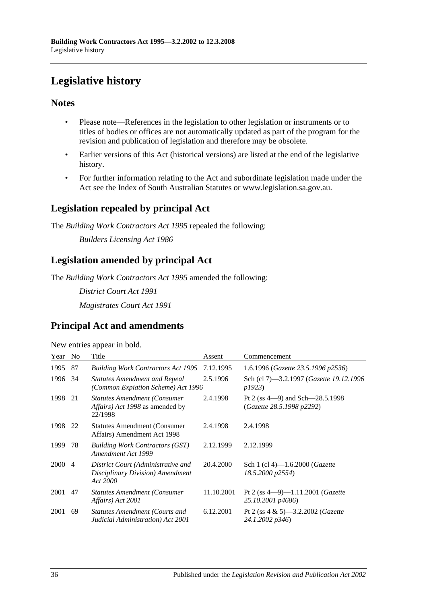## <span id="page-35-0"></span>**Legislative history**

### **Notes**

- Please note—References in the legislation to other legislation or instruments or to titles of bodies or offices are not automatically updated as part of the program for the revision and publication of legislation and therefore may be obsolete.
- Earlier versions of this Act (historical versions) are listed at the end of the legislative history.
- For further information relating to the Act and subordinate legislation made under the Act see the Index of South Australian Statutes or www.legislation.sa.gov.au.

### **Legislation repealed by principal Act**

The *Building Work Contractors Act 1995* repealed the following:

*Builders Licensing Act 1986*

### **Legislation amended by principal Act**

The *Building Work Contractors Act 1995* amended the following:

*District Court Act 1991*

*Magistrates Court Act 1991*

### **Principal Act and amendments**

New entries appear in bold.

| Year   | N <sub>0</sub> | Title                                                                                            | Assent     | Commencement                                                       |
|--------|----------------|--------------------------------------------------------------------------------------------------|------------|--------------------------------------------------------------------|
| 1995   | 87             | <b>Building Work Contractors Act 1995</b>                                                        | 7.12.1995  | 1.6.1996 (Gazette 23.5.1996 p2536)                                 |
| 1996   | -34            | <b>Statutes Amendment and Repeal</b><br>(Common Expiation Scheme) Act 1996                       | 2.5.1996   | Sch (cl 7)—3.2.1997 ( <i>Gazette 19.12.1996</i><br><i>p1923</i> )  |
| 1998   | 21             | <b>Statutes Amendment (Consumer</b><br><i>Affairs</i> ) <i>Act 1998</i> as amended by<br>22/1998 | 2.4.1998   | Pt 2 (ss $4-9$ ) and Sch $-28.5.1998$<br>(Gazette 28.5.1998 p2292) |
| 1998   | 22             | <b>Statutes Amendment (Consumer</b> )<br>Affairs) Amendment Act 1998                             | 2.4.1998   | 2.4.1998                                                           |
| 1999   | 78             | <b>Building Work Contractors (GST)</b><br>Amendment Act 1999                                     | 2.12.1999  | 2.12.1999                                                          |
| 2000 4 |                | District Court (Administrative and<br>Disciplinary Division) Amendment<br>Act 2000               | 20.4.2000  | Sch 1 (cl 4)-1.6.2000 ( <i>Gazette</i><br>18.5.2000 p2554)         |
| 2001   | 47             | <b>Statutes Amendment (Consumer</b><br>Affairs) Act 2001                                         | 11.10.2001 | Pt 2 (ss 4-9)-1.11.2001 (Gazette<br>25.10.2001 p4686)              |
| 2001   | 69             | <b>Statutes Amendment (Courts and</b><br>Judicial Administration) Act 2001                       | 6.12.2001  | Pt 2 (ss $4 \& 5$ )—3.2.2002 ( <i>Gazette</i><br>24.1.2002 p346)   |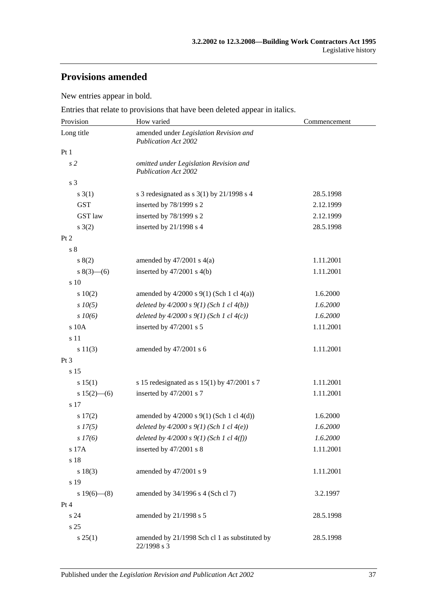## **Provisions amended**

New entries appear in bold.

Entries that relate to provisions that have been deleted appear in italics.

| Provision       | How varied                                                            | Commencement |  |
|-----------------|-----------------------------------------------------------------------|--------------|--|
| Long title      | amended under Legislation Revision and<br><b>Publication Act 2002</b> |              |  |
| Pt 1            |                                                                       |              |  |
| s <sub>2</sub>  | omitted under Legislation Revision and<br><b>Publication Act 2002</b> |              |  |
| s 3             |                                                                       |              |  |
| s(3(1))         | s 3 redesignated as s $3(1)$ by $21/1998$ s 4                         | 28.5.1998    |  |
| <b>GST</b>      | inserted by 78/1999 s 2                                               | 2.12.1999    |  |
| <b>GST</b> law  | inserted by 78/1999 s 2                                               | 2.12.1999    |  |
| $s \; 3(2)$     | inserted by $21/1998$ s 4                                             | 28.5.1998    |  |
| Pt <sub>2</sub> |                                                                       |              |  |
| s <sub>8</sub>  |                                                                       |              |  |
| s(2)            | amended by $47/2001$ s $4(a)$                                         | 1.11.2001    |  |
| $s(3)$ (6)      | inserted by $47/2001$ s $4(b)$                                        | 1.11.2001    |  |
| $\sqrt{s}$ 10   |                                                                       |              |  |
| 10(2)           | amended by $4/2000$ s $9(1)$ (Sch 1 cl $4(a)$ )                       | 1.6.2000     |  |
| $s$ 10(5)       | deleted by $4/2000 s 9(1)$ (Sch 1 cl $4(b)$ )                         | 1.6.2000     |  |
| $s \, 10(6)$    | deleted by $4/2000 s 9(1)$ (Sch 1 cl $4(c)$ )                         | 1.6.2000     |  |
| s 10A           | inserted by 47/2001 s 5                                               | 1.11.2001    |  |
| s 11            |                                                                       |              |  |
| s 11(3)         | amended by 47/2001 s 6                                                | 1.11.2001    |  |
| Pt <sub>3</sub> |                                                                       |              |  |
| s 15            |                                                                       |              |  |
| s 15(1)         | s 15 redesignated as s $15(1)$ by $47/2001$ s 7                       | 1.11.2001    |  |
| s $15(2)$ - (6) | inserted by 47/2001 s 7                                               | 1.11.2001    |  |
| s 17            |                                                                       |              |  |
| s 17(2)         | amended by $4/2000$ s $9(1)$ (Sch 1 cl $4(d)$ )                       | 1.6.2000     |  |
| $s\,17(5)$      | deleted by $4/2000 s 9(1)$ (Sch 1 cl $4(e)$ )                         | 1.6.2000     |  |
| s 17(6)         | deleted by $4/2000 s 9(1)$ (Sch 1 cl $4(f)$ )                         | 1.6.2000     |  |
| s 17A           | inserted by 47/2001 s 8                                               | 1.11.2001    |  |
| s 18            |                                                                       |              |  |
| s 18(3)         | amended by 47/2001 s 9                                                | 1.11.2001    |  |
| s 19            |                                                                       |              |  |
| $s 19(6)$ (8)   | amended by 34/1996 s 4 (Sch cl 7)                                     | 3.2.1997     |  |
| Pt 4            |                                                                       |              |  |
| s <sub>24</sub> | amended by 21/1998 s 5                                                | 28.5.1998    |  |
| s 25            |                                                                       |              |  |
| s 25(1)         | amended by 21/1998 Sch cl 1 as substituted by<br>22/1998 s 3          | 28.5.1998    |  |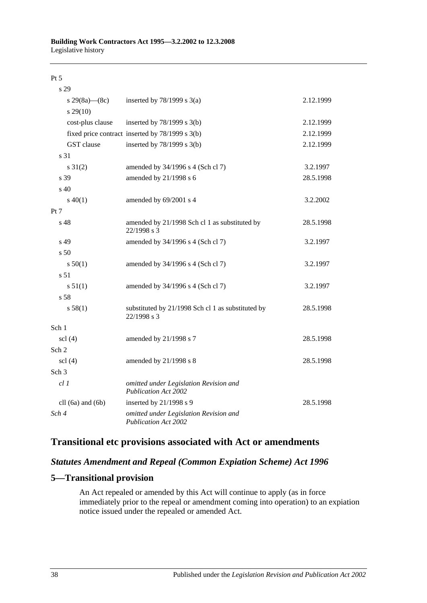#### Pt 5

| s 29                          |                                                                       |           |
|-------------------------------|-----------------------------------------------------------------------|-----------|
| s 29(8a)—(8c)                 | inserted by $78/1999$ s $3(a)$                                        | 2.12.1999 |
| $s\,29(10)$                   |                                                                       |           |
| cost-plus clause              | inserted by $78/1999$ s $3(b)$                                        | 2.12.1999 |
|                               | fixed price contract inserted by 78/1999 s 3(b)                       | 2.12.1999 |
| GST clause                    | inserted by $78/1999$ s $3(b)$                                        | 2.12.1999 |
| s 31                          |                                                                       |           |
| $s \ 31(2)$                   | amended by 34/1996 s 4 (Sch cl 7)                                     | 3.2.1997  |
| s 39                          | amended by 21/1998 s 6                                                | 28.5.1998 |
| s 40                          |                                                                       |           |
| $s\ 40(1)$                    | amended by 69/2001 s 4                                                | 3.2.2002  |
| Pt 7                          |                                                                       |           |
| s 48                          | amended by 21/1998 Sch cl 1 as substituted by<br>22/1998 s 3          | 28.5.1998 |
| s 49                          | amended by 34/1996 s 4 (Sch cl 7)                                     | 3.2.1997  |
| s 50                          |                                                                       |           |
| s 50(1)                       | amended by 34/1996 s 4 (Sch cl 7)                                     | 3.2.1997  |
| s <sub>51</sub>               |                                                                       |           |
| s 51(1)                       | amended by 34/1996 s 4 (Sch cl 7)                                     | 3.2.1997  |
| s 58                          |                                                                       |           |
| s 58(1)                       | substituted by 21/1998 Sch cl 1 as substituted by<br>22/1998 s 3      | 28.5.1998 |
| Sch 1                         |                                                                       |           |
| $\text{ }$ scl $\text{ }$ (4) | amended by 21/1998 s 7                                                | 28.5.1998 |
| Sch 2                         |                                                                       |           |
| $\text{sc}$ 1 $(4)$           | amended by 21/1998 s 8                                                | 28.5.1998 |
| Sch <sub>3</sub>              |                                                                       |           |
| $cl$ $1$                      | omitted under Legislation Revision and<br><b>Publication Act 2002</b> |           |
| cll $(6a)$ and $(6b)$         | inserted by 21/1998 s 9                                               | 28.5.1998 |
| Sch 4                         | omitted under Legislation Revision and<br><b>Publication Act 2002</b> |           |

### **Transitional etc provisions associated with Act or amendments**

### *Statutes Amendment and Repeal (Common Expiation Scheme) Act 1996*

### **5—Transitional provision**

An Act repealed or amended by this Act will continue to apply (as in force immediately prior to the repeal or amendment coming into operation) to an expiation notice issued under the repealed or amended Act.